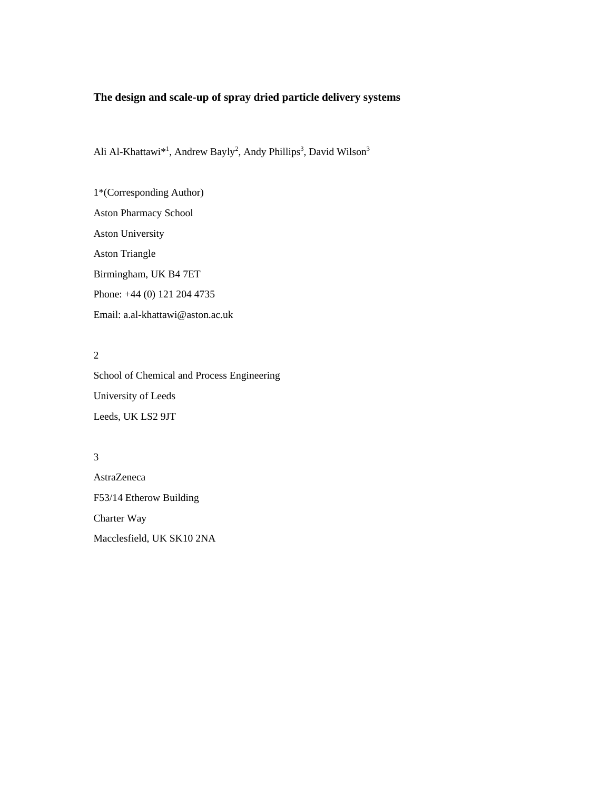# **The design and scale-up of spray dried particle delivery systems**

Ali Al-Khattawi<sup>\*1</sup>, Andrew Bayly<sup>2</sup>, Andy Phillips<sup>3</sup>, David Wilson<sup>3</sup>

1\*(Corresponding Author) Aston Pharmacy School Aston University Aston Triangle Birmingham, UK B4 7ET Phone: +44 (0) 121 204 4735 Email: a.al-khattawi@aston.ac.uk

# 2

School of Chemical and Process Engineering University of Leeds Leeds, UK LS2 9JT

### 3

AstraZeneca F53/14 Etherow Building Charter Way Macclesfield, UK SK10 2NA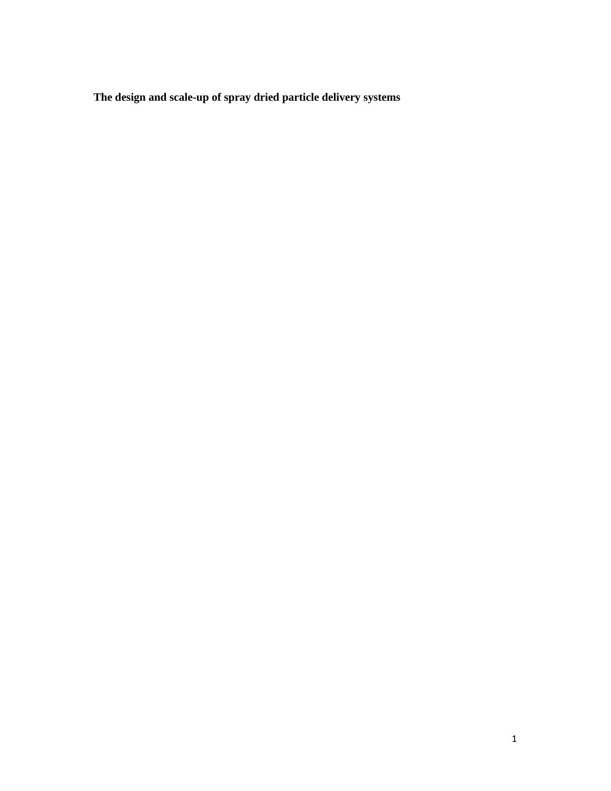**The design and scale-up of spray dried particle delivery systems**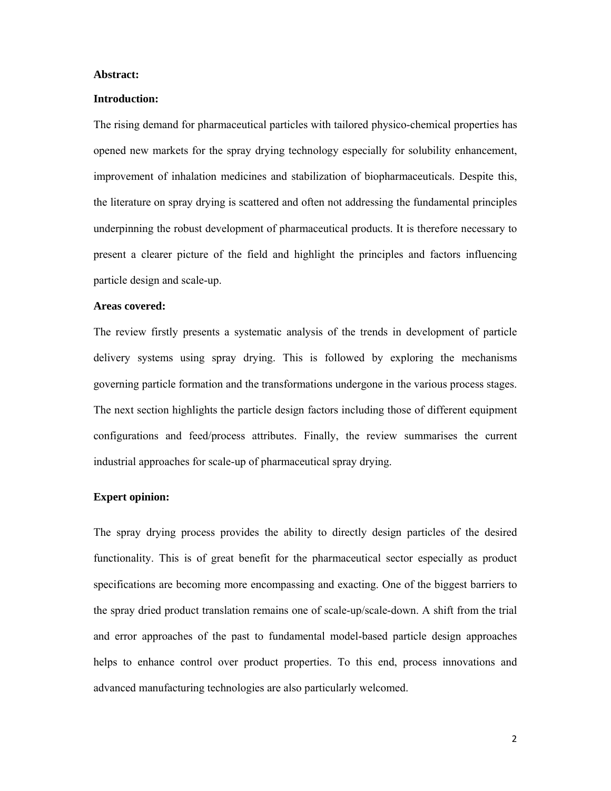### **Abstract:**

### **Introduction:**

The rising demand for pharmaceutical particles with tailored physico-chemical properties has opened new markets for the spray drying technology especially for solubility enhancement, improvement of inhalation medicines and stabilization of biopharmaceuticals. Despite this, the literature on spray drying is scattered and often not addressing the fundamental principles underpinning the robust development of pharmaceutical products. It is therefore necessary to present a clearer picture of the field and highlight the principles and factors influencing particle design and scale-up.

### **Areas covered:**

The review firstly presents a systematic analysis of the trends in development of particle delivery systems using spray drying. This is followed by exploring the mechanisms governing particle formation and the transformations undergone in the various process stages. The next section highlights the particle design factors including those of different equipment configurations and feed/process attributes. Finally, the review summarises the current industrial approaches for scale-up of pharmaceutical spray drying.

# **Expert opinion:**

The spray drying process provides the ability to directly design particles of the desired functionality. This is of great benefit for the pharmaceutical sector especially as product specifications are becoming more encompassing and exacting. One of the biggest barriers to the spray dried product translation remains one of scale-up/scale-down. A shift from the trial and error approaches of the past to fundamental model-based particle design approaches helps to enhance control over product properties. To this end, process innovations and advanced manufacturing technologies are also particularly welcomed.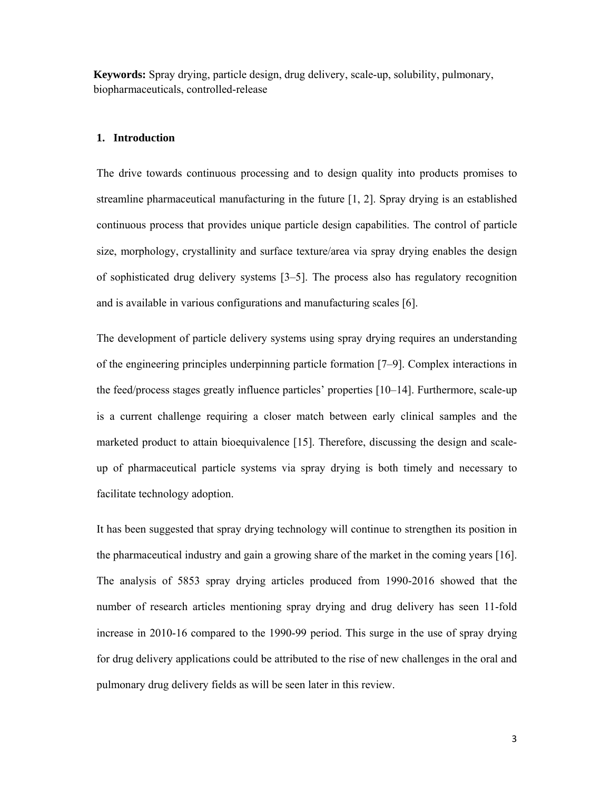**Keywords:** Spray drying, particle design, drug delivery, scale-up, solubility, pulmonary, biopharmaceuticals, controlled-release

## **1. Introduction**

The drive towards continuous processing and to design quality into products promises to streamline pharmaceutical manufacturing in the future [1, 2]. Spray drying is an established continuous process that provides unique particle design capabilities. The control of particle size, morphology, crystallinity and surface texture/area via spray drying enables the design of sophisticated drug delivery systems [3–5]. The process also has regulatory recognition and is available in various configurations and manufacturing scales [6].

The development of particle delivery systems using spray drying requires an understanding of the engineering principles underpinning particle formation [7–9]. Complex interactions in the feed/process stages greatly influence particles' properties [10–14]. Furthermore, scale-up is a current challenge requiring a closer match between early clinical samples and the marketed product to attain bioequivalence [15]. Therefore, discussing the design and scaleup of pharmaceutical particle systems via spray drying is both timely and necessary to facilitate technology adoption.

It has been suggested that spray drying technology will continue to strengthen its position in the pharmaceutical industry and gain a growing share of the market in the coming years [16]. The analysis of 5853 spray drying articles produced from 1990-2016 showed that the number of research articles mentioning spray drying and drug delivery has seen 11-fold increase in 2010-16 compared to the 1990-99 period. This surge in the use of spray drying for drug delivery applications could be attributed to the rise of new challenges in the oral and pulmonary drug delivery fields as will be seen later in this review.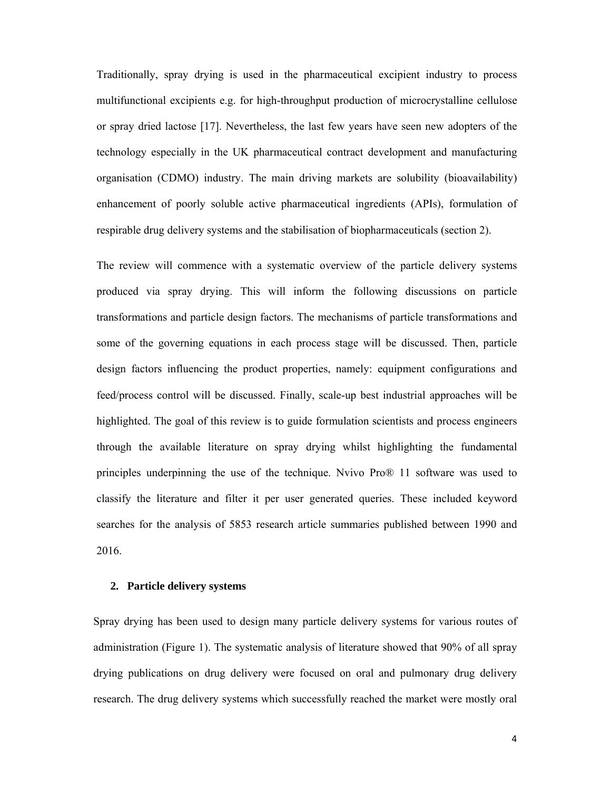Traditionally, spray drying is used in the pharmaceutical excipient industry to process multifunctional excipients e.g. for high-throughput production of microcrystalline cellulose or spray dried lactose [17]. Nevertheless, the last few years have seen new adopters of the technology especially in the UK pharmaceutical contract development and manufacturing organisation (CDMO) industry. The main driving markets are solubility (bioavailability) enhancement of poorly soluble active pharmaceutical ingredients (APIs), formulation of respirable drug delivery systems and the stabilisation of biopharmaceuticals (section 2).

The review will commence with a systematic overview of the particle delivery systems produced via spray drying. This will inform the following discussions on particle transformations and particle design factors. The mechanisms of particle transformations and some of the governing equations in each process stage will be discussed. Then, particle design factors influencing the product properties, namely: equipment configurations and feed/process control will be discussed. Finally, scale-up best industrial approaches will be highlighted. The goal of this review is to guide formulation scientists and process engineers through the available literature on spray drying whilst highlighting the fundamental principles underpinning the use of the technique. Nvivo Pro® 11 software was used to classify the literature and filter it per user generated queries. These included keyword searches for the analysis of 5853 research article summaries published between 1990 and 2016.

### **2. Particle delivery systems**

Spray drying has been used to design many particle delivery systems for various routes of administration (Figure 1). The systematic analysis of literature showed that 90% of all spray drying publications on drug delivery were focused on oral and pulmonary drug delivery research. The drug delivery systems which successfully reached the market were mostly oral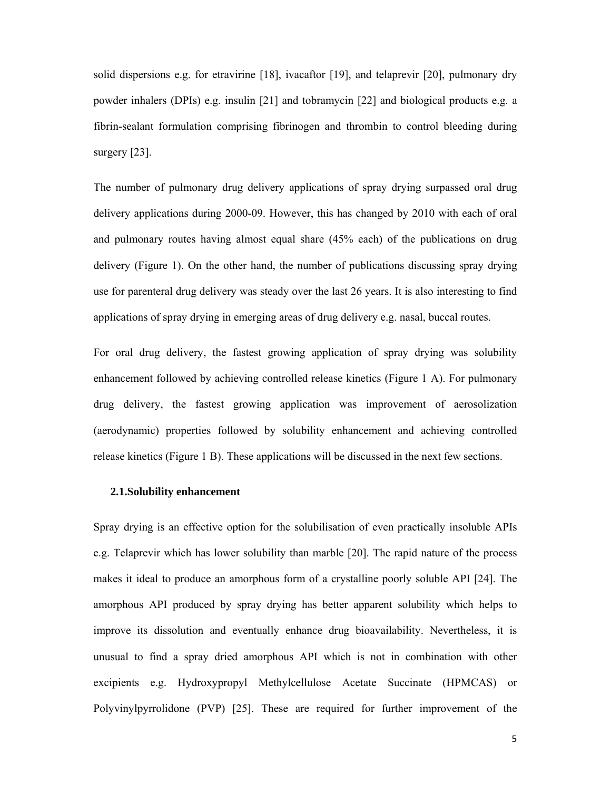solid dispersions e.g. for etravirine [18], ivacaftor [19], and telaprevir [20], pulmonary dry powder inhalers (DPIs) e.g. insulin [21] and tobramycin [22] and biological products e.g. a fibrin-sealant formulation comprising fibrinogen and thrombin to control bleeding during surgery [23].

The number of pulmonary drug delivery applications of spray drying surpassed oral drug delivery applications during 2000-09. However, this has changed by 2010 with each of oral and pulmonary routes having almost equal share (45% each) of the publications on drug delivery (Figure 1). On the other hand, the number of publications discussing spray drying use for parenteral drug delivery was steady over the last 26 years. It is also interesting to find applications of spray drying in emerging areas of drug delivery e.g. nasal, buccal routes.

For oral drug delivery, the fastest growing application of spray drying was solubility enhancement followed by achieving controlled release kinetics (Figure 1 A). For pulmonary drug delivery, the fastest growing application was improvement of aerosolization (aerodynamic) properties followed by solubility enhancement and achieving controlled release kinetics (Figure 1 B). These applications will be discussed in the next few sections.

### **2.1.Solubility enhancement**

Spray drying is an effective option for the solubilisation of even practically insoluble APIs e.g. Telaprevir which has lower solubility than marble [20]. The rapid nature of the process makes it ideal to produce an amorphous form of a crystalline poorly soluble API [24]. The amorphous API produced by spray drying has better apparent solubility which helps to improve its dissolution and eventually enhance drug bioavailability. Nevertheless, it is unusual to find a spray dried amorphous API which is not in combination with other excipients e.g. Hydroxypropyl Methylcellulose Acetate Succinate (HPMCAS) or Polyvinylpyrrolidone (PVP) [25]. These are required for further improvement of the

5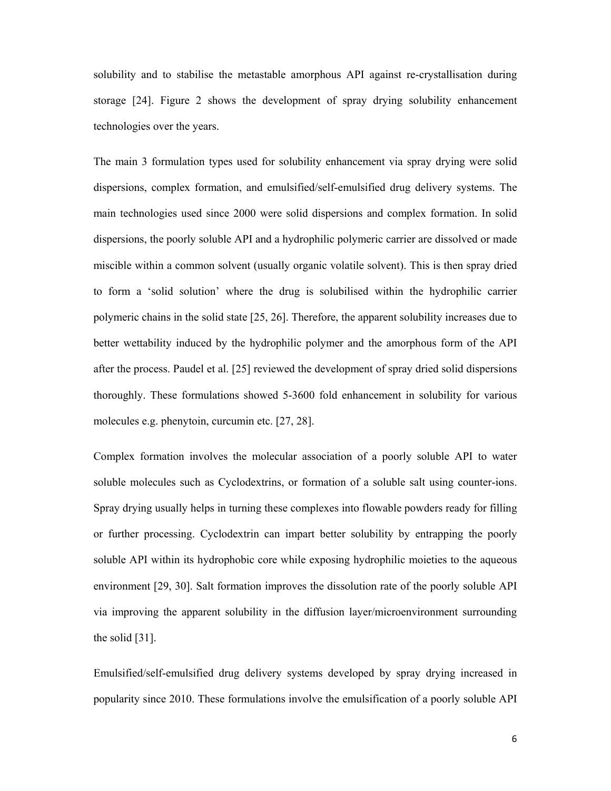solubility and to stabilise the metastable amorphous API against re-crystallisation during storage [24]. Figure 2 shows the development of spray drying solubility enhancement technologies over the years.

The main 3 formulation types used for solubility enhancement via spray drying were solid dispersions, complex formation, and emulsified/self-emulsified drug delivery systems. The main technologies used since 2000 were solid dispersions and complex formation. In solid dispersions, the poorly soluble API and a hydrophilic polymeric carrier are dissolved or made miscible within a common solvent (usually organic volatile solvent). This is then spray dried to form a 'solid solution' where the drug is solubilised within the hydrophilic carrier polymeric chains in the solid state [25, 26]. Therefore, the apparent solubility increases due to better wettability induced by the hydrophilic polymer and the amorphous form of the API after the process. Paudel et al. [25] reviewed the development of spray dried solid dispersions thoroughly. These formulations showed 5-3600 fold enhancement in solubility for various molecules e.g. phenytoin, curcumin etc. [27, 28].

Complex formation involves the molecular association of a poorly soluble API to water soluble molecules such as Cyclodextrins, or formation of a soluble salt using counter-ions. Spray drying usually helps in turning these complexes into flowable powders ready for filling or further processing. Cyclodextrin can impart better solubility by entrapping the poorly soluble API within its hydrophobic core while exposing hydrophilic moieties to the aqueous environment [29, 30]. Salt formation improves the dissolution rate of the poorly soluble API via improving the apparent solubility in the diffusion layer/microenvironment surrounding the solid [31].

Emulsified/self-emulsified drug delivery systems developed by spray drying increased in popularity since 2010. These formulations involve the emulsification of a poorly soluble API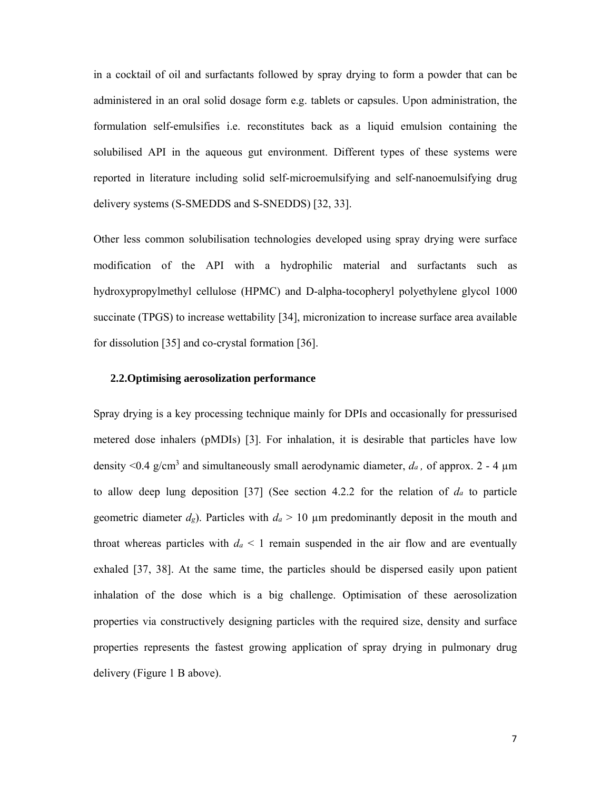in a cocktail of oil and surfactants followed by spray drying to form a powder that can be administered in an oral solid dosage form e.g. tablets or capsules. Upon administration, the formulation self-emulsifies i.e. reconstitutes back as a liquid emulsion containing the solubilised API in the aqueous gut environment. Different types of these systems were reported in literature including solid self-microemulsifying and self-nanoemulsifying drug delivery systems (S-SMEDDS and S-SNEDDS) [32, 33].

Other less common solubilisation technologies developed using spray drying were surface modification of the API with a hydrophilic material and surfactants such as hydroxypropylmethyl cellulose (HPMC) and D-alpha-tocopheryl polyethylene glycol 1000 succinate (TPGS) to increase wettability [34], micronization to increase surface area available for dissolution [35] and co-crystal formation [36].

### **2.2.Optimising aerosolization performance**

Spray drying is a key processing technique mainly for DPIs and occasionally for pressurised metered dose inhalers (pMDIs) [3]. For inhalation, it is desirable that particles have low density  $\leq 0.4$  g/cm<sup>3</sup> and simultaneously small aerodynamic diameter,  $d_a$ , of approx. 2 - 4  $\mu$ m to allow deep lung deposition [37] (See section 4.2.2 for the relation of *da* to particle geometric diameter  $d_g$ ). Particles with  $d_g > 10 \mu$ m predominantly deposit in the mouth and throat whereas particles with  $d_a \leq 1$  remain suspended in the air flow and are eventually exhaled [37, 38]. At the same time, the particles should be dispersed easily upon patient inhalation of the dose which is a big challenge. Optimisation of these aerosolization properties via constructively designing particles with the required size, density and surface properties represents the fastest growing application of spray drying in pulmonary drug delivery (Figure 1 B above).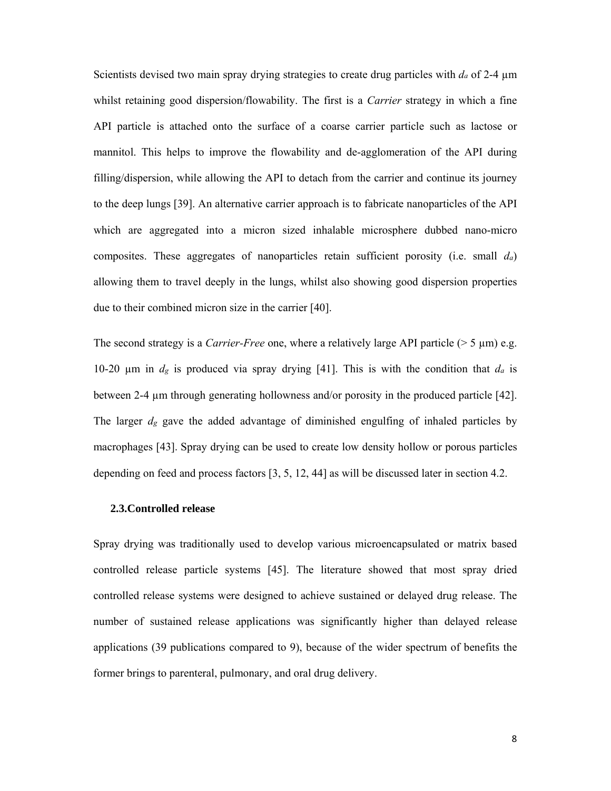Scientists devised two main spray drying strategies to create drug particles with  $d_a$  of 2-4  $\mu$ m whilst retaining good dispersion/flowability. The first is a *Carrier* strategy in which a fine API particle is attached onto the surface of a coarse carrier particle such as lactose or mannitol. This helps to improve the flowability and de-agglomeration of the API during filling/dispersion, while allowing the API to detach from the carrier and continue its journey to the deep lungs [39]. An alternative carrier approach is to fabricate nanoparticles of the API which are aggregated into a micron sized inhalable microsphere dubbed nano-micro composites. These aggregates of nanoparticles retain sufficient porosity (i.e. small *da*) allowing them to travel deeply in the lungs, whilst also showing good dispersion properties due to their combined micron size in the carrier [40].

The second strategy is a *Carrier-Free* one, where a relatively large API particle (> 5 µm) e.g. 10-20 µm in *dg* is produced via spray drying [41]. This is with the condition that *da* is between 2-4 µm through generating hollowness and/or porosity in the produced particle [42]. The larger *dg* gave the added advantage of diminished engulfing of inhaled particles by macrophages [43]. Spray drying can be used to create low density hollow or porous particles depending on feed and process factors [3, 5, 12, 44] as will be discussed later in section 4.2.

#### **2.3.Controlled release**

Spray drying was traditionally used to develop various microencapsulated or matrix based controlled release particle systems [45]. The literature showed that most spray dried controlled release systems were designed to achieve sustained or delayed drug release. The number of sustained release applications was significantly higher than delayed release applications (39 publications compared to 9), because of the wider spectrum of benefits the former brings to parenteral, pulmonary, and oral drug delivery.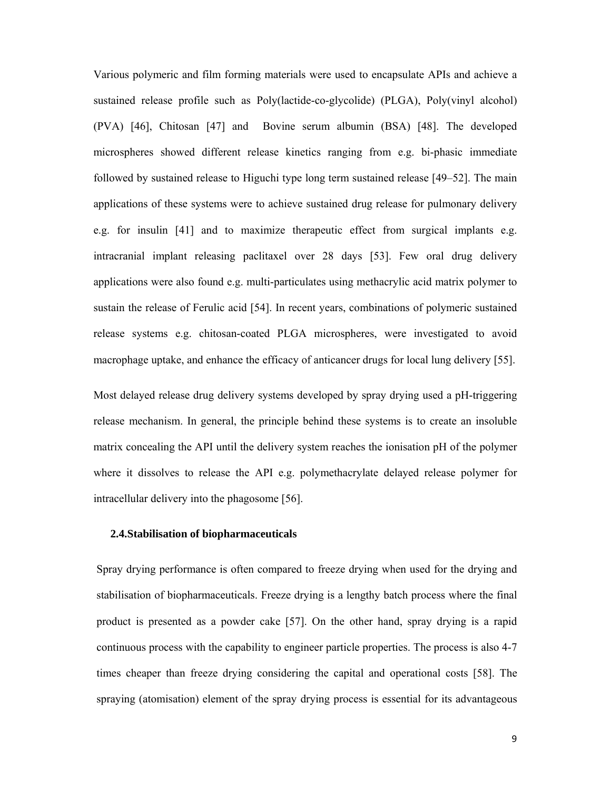Various polymeric and film forming materials were used to encapsulate APIs and achieve a sustained release profile such as Poly(lactide-co-glycolide) (PLGA), Poly(vinyl alcohol) (PVA) [46], Chitosan [47] and Bovine serum albumin (BSA) [48]. The developed microspheres showed different release kinetics ranging from e.g. bi-phasic immediate followed by sustained release to Higuchi type long term sustained release [49–52]. The main applications of these systems were to achieve sustained drug release for pulmonary delivery e.g. for insulin [41] and to maximize therapeutic effect from surgical implants e.g. intracranial implant releasing paclitaxel over 28 days [53]. Few oral drug delivery applications were also found e.g. multi-particulates using methacrylic acid matrix polymer to sustain the release of Ferulic acid [54]. In recent years, combinations of polymeric sustained release systems e.g. chitosan-coated PLGA microspheres, were investigated to avoid macrophage uptake, and enhance the efficacy of anticancer drugs for local lung delivery [55].

Most delayed release drug delivery systems developed by spray drying used a pH-triggering release mechanism. In general, the principle behind these systems is to create an insoluble matrix concealing the API until the delivery system reaches the ionisation pH of the polymer where it dissolves to release the API e.g. polymethacrylate delayed release polymer for intracellular delivery into the phagosome [56].

### **2.4.Stabilisation of biopharmaceuticals**

Spray drying performance is often compared to freeze drying when used for the drying and stabilisation of biopharmaceuticals. Freeze drying is a lengthy batch process where the final product is presented as a powder cake [57]. On the other hand, spray drying is a rapid continuous process with the capability to engineer particle properties. The process is also 4-7 times cheaper than freeze drying considering the capital and operational costs [58]. The spraying (atomisation) element of the spray drying process is essential for its advantageous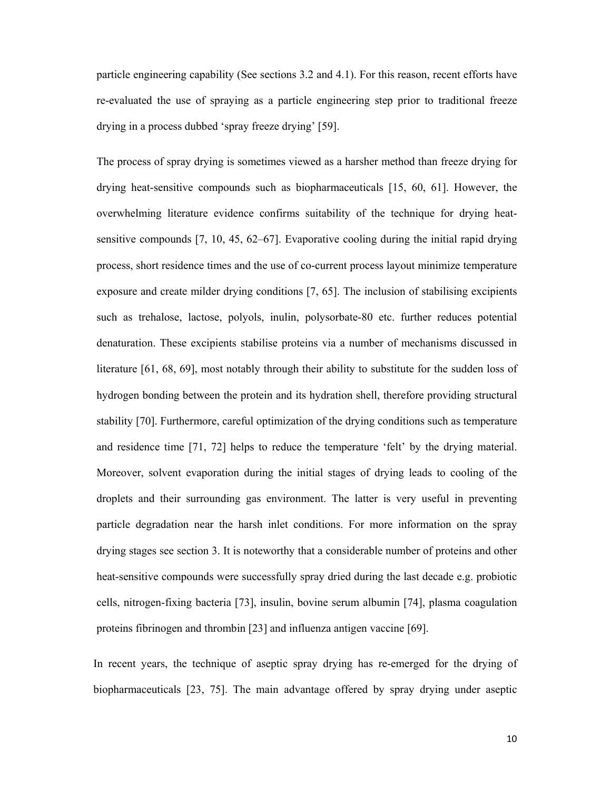particle engineering capability (See sections 3.2 and 4.1). For this reason, recent efforts have re-evaluated the use of spraying as a particle engineering step prior to traditional freeze drying in a process dubbed 'spray freeze drying' [59].

The process of spray drying is sometimes viewed as a harsher method than freeze drying for drying heat-sensitive compounds such as biopharmaceuticals [15, 60, 61]. However, the overwhelming literature evidence confirms suitability of the technique for drying heatsensitive compounds [7, 10, 45, 62–67]. Evaporative cooling during the initial rapid drying process, short residence times and the use of co-current process layout minimize temperature exposure and create milder drying conditions [7, 65]. The inclusion of stabilising excipients such as trehalose, lactose, polyols, inulin, polysorbate-80 etc. further reduces potential denaturation. These excipients stabilise proteins via a number of mechanisms discussed in literature [61, 68, 69], most notably through their ability to substitute for the sudden loss of hydrogen bonding between the protein and its hydration shell, therefore providing structural stability [70]. Furthermore, careful optimization of the drying conditions such as temperature and residence time [71, 72] helps to reduce the temperature 'felt' by the drying material. Moreover, solvent evaporation during the initial stages of drying leads to cooling of the droplets and their surrounding gas environment. The latter is very useful in preventing particle degradation near the harsh inlet conditions. For more information on the spray drying stages see section 3. It is noteworthy that a considerable number of proteins and other heat-sensitive compounds were successfully spray dried during the last decade e.g. probiotic cells, nitrogen-fixing bacteria [73], insulin, bovine serum albumin [74], plasma coagulation proteins fibrinogen and thrombin [23] and influenza antigen vaccine [69].

In recent years, the technique of aseptic spray drying has re-emerged for the drying of biopharmaceuticals [23, 75]. The main advantage offered by spray drying under aseptic

10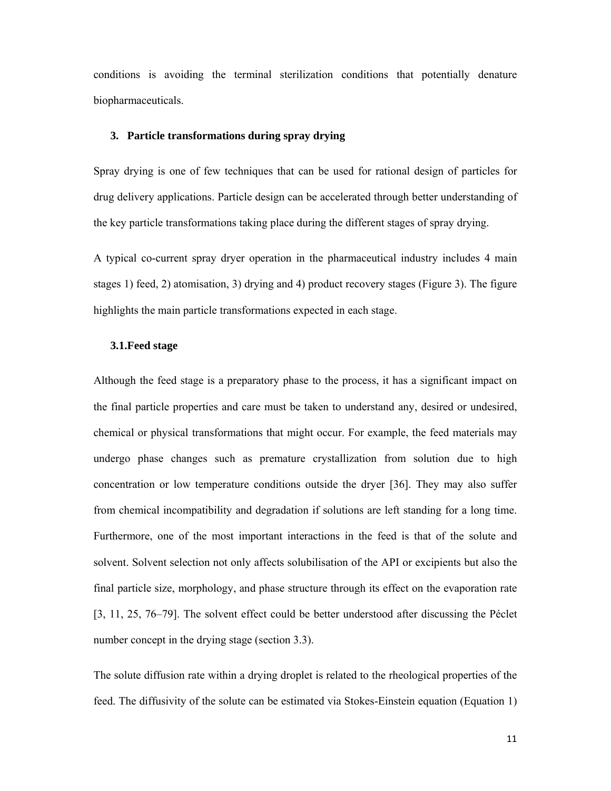conditions is avoiding the terminal sterilization conditions that potentially denature biopharmaceuticals.

### **3. Particle transformations during spray drying**

Spray drying is one of few techniques that can be used for rational design of particles for drug delivery applications. Particle design can be accelerated through better understanding of the key particle transformations taking place during the different stages of spray drying.

A typical co-current spray dryer operation in the pharmaceutical industry includes 4 main stages 1) feed, 2) atomisation, 3) drying and 4) product recovery stages (Figure 3). The figure highlights the main particle transformations expected in each stage.

### **3.1.Feed stage**

Although the feed stage is a preparatory phase to the process, it has a significant impact on the final particle properties and care must be taken to understand any, desired or undesired, chemical or physical transformations that might occur. For example, the feed materials may undergo phase changes such as premature crystallization from solution due to high concentration or low temperature conditions outside the dryer [36]. They may also suffer from chemical incompatibility and degradation if solutions are left standing for a long time. Furthermore, one of the most important interactions in the feed is that of the solute and solvent. Solvent selection not only affects solubilisation of the API or excipients but also the final particle size, morphology, and phase structure through its effect on the evaporation rate [3, 11, 25, 76–79]. The solvent effect could be better understood after discussing the Péclet number concept in the drying stage (section 3.3).

The solute diffusion rate within a drying droplet is related to the rheological properties of the feed. The diffusivity of the solute can be estimated via Stokes-Einstein equation (Equation 1)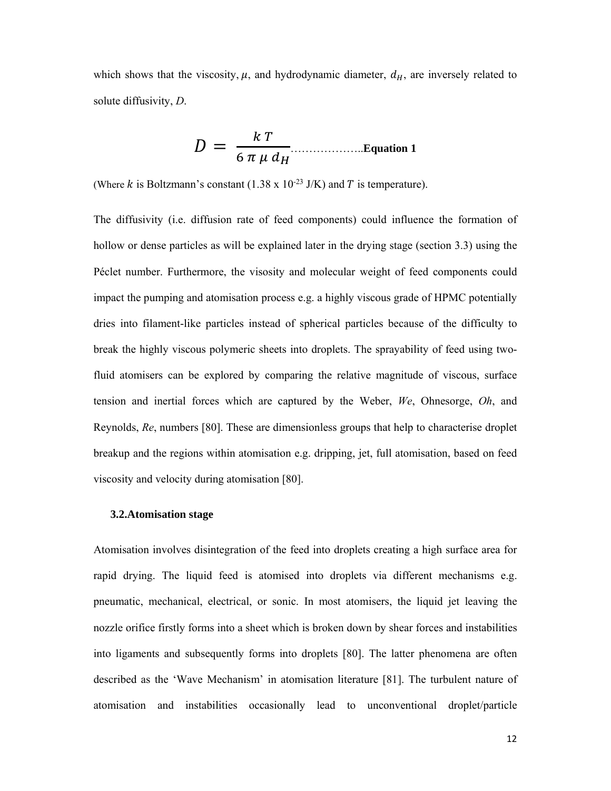which shows that the viscosity,  $\mu$ , and hydrodynamic diameter,  $d_H$ , are inversely related to solute diffusivity, *D*.

$$
D = \frac{k T}{6 \pi \mu d_H}
$$
...Equation 1

(Where k is Boltzmann's constant  $(1.38 \times 10^{-23} \text{ J/K})$  and T is temperature).

The diffusivity (i.e. diffusion rate of feed components) could influence the formation of hollow or dense particles as will be explained later in the drying stage (section 3.3) using the Péclet number. Furthermore, the visosity and molecular weight of feed components could impact the pumping and atomisation process e.g. a highly viscous grade of HPMC potentially dries into filament-like particles instead of spherical particles because of the difficulty to break the highly viscous polymeric sheets into droplets. The sprayability of feed using twofluid atomisers can be explored by comparing the relative magnitude of viscous, surface tension and inertial forces which are captured by the Weber, *We*, Ohnesorge, *Oh*, and Reynolds, *Re*, numbers [80]. These are dimensionless groups that help to characterise droplet breakup and the regions within atomisation e.g. dripping, jet, full atomisation, based on feed viscosity and velocity during atomisation [80].

### **3.2.Atomisation stage**

Atomisation involves disintegration of the feed into droplets creating a high surface area for rapid drying. The liquid feed is atomised into droplets via different mechanisms e.g. pneumatic, mechanical, electrical, or sonic. In most atomisers, the liquid jet leaving the nozzle orifice firstly forms into a sheet which is broken down by shear forces and instabilities into ligaments and subsequently forms into droplets [80]. The latter phenomena are often described as the 'Wave Mechanism' in atomisation literature [81]. The turbulent nature of atomisation and instabilities occasionally lead to unconventional droplet/particle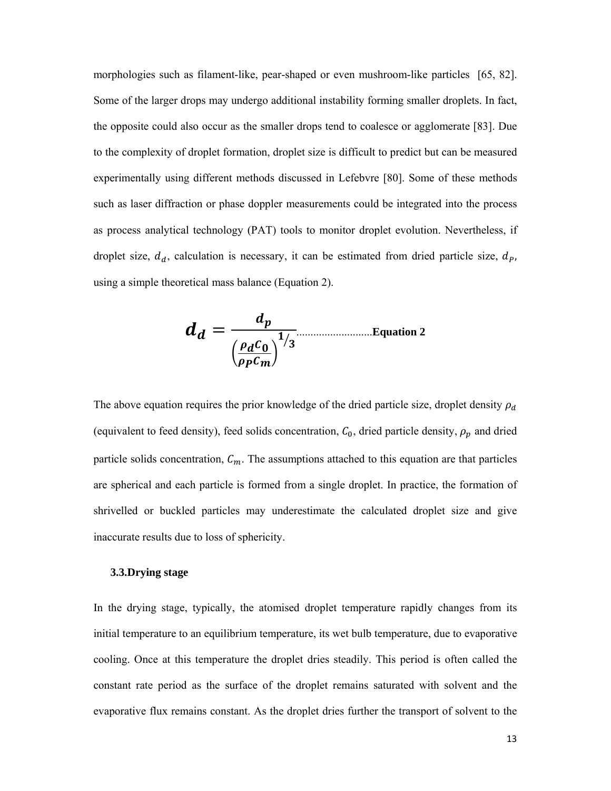morphologies such as filament-like, pear-shaped or even mushroom-like particles [65, 82]. Some of the larger drops may undergo additional instability forming smaller droplets. In fact, the opposite could also occur as the smaller drops tend to coalesce or agglomerate [83]. Due to the complexity of droplet formation, droplet size is difficult to predict but can be measured experimentally using different methods discussed in Lefebvre [80]. Some of these methods such as laser diffraction or phase doppler measurements could be integrated into the process as process analytical technology (PAT) tools to monitor droplet evolution. Nevertheless, if droplet size,  $d_d$ , calculation is necessary, it can be estimated from dried particle size,  $d_p$ , using a simple theoretical mass balance (Equation 2).

$$
d_d = \frac{d_p}{\left(\frac{\rho_d C_0}{\rho_p C_m}\right)^{1/3}}
$$
Equation 2

The above equation requires the prior knowledge of the dried particle size, droplet density  $\rho_d$ (equivalent to feed density), feed solids concentration,  $C_0$ , dried particle density,  $\rho_p$  and dried particle solids concentration,  $C_m$ . The assumptions attached to this equation are that particles are spherical and each particle is formed from a single droplet. In practice, the formation of shrivelled or buckled particles may underestimate the calculated droplet size and give inaccurate results due to loss of sphericity.

#### **3.3.Drying stage**

In the drying stage, typically, the atomised droplet temperature rapidly changes from its initial temperature to an equilibrium temperature, its wet bulb temperature, due to evaporative cooling. Once at this temperature the droplet dries steadily. This period is often called the constant rate period as the surface of the droplet remains saturated with solvent and the evaporative flux remains constant. As the droplet dries further the transport of solvent to the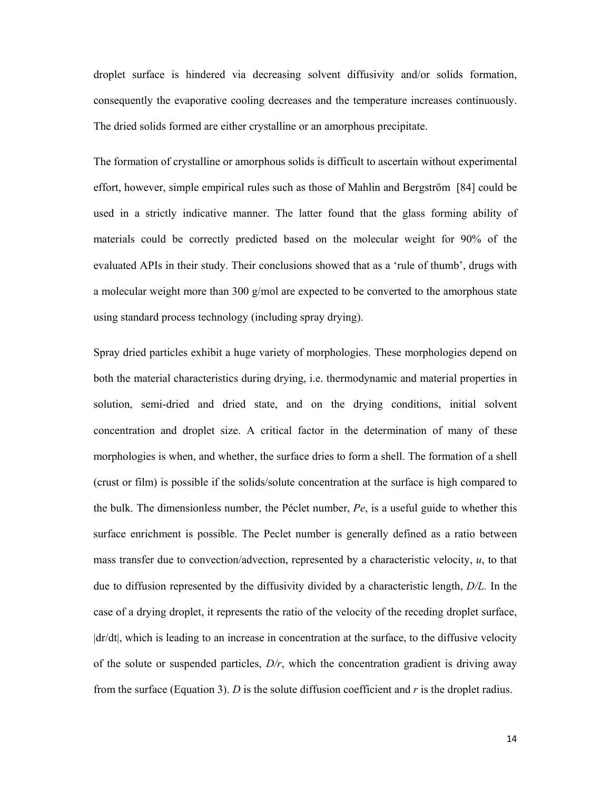droplet surface is hindered via decreasing solvent diffusivity and/or solids formation, consequently the evaporative cooling decreases and the temperature increases continuously. The dried solids formed are either crystalline or an amorphous precipitate.

The formation of crystalline or amorphous solids is difficult to ascertain without experimental effort, however, simple empirical rules such as those of Mahlin and Bergström [84] could be used in a strictly indicative manner. The latter found that the glass forming ability of materials could be correctly predicted based on the molecular weight for 90% of the evaluated APIs in their study. Their conclusions showed that as a 'rule of thumb', drugs with a molecular weight more than 300 g/mol are expected to be converted to the amorphous state using standard process technology (including spray drying).

Spray dried particles exhibit a huge variety of morphologies. These morphologies depend on both the material characteristics during drying, i.e. thermodynamic and material properties in solution, semi-dried and dried state, and on the drying conditions, initial solvent concentration and droplet size. A critical factor in the determination of many of these morphologies is when, and whether, the surface dries to form a shell. The formation of a shell (crust or film) is possible if the solids/solute concentration at the surface is high compared to the bulk. The dimensionless number, the Péclet number, *Pe*, is a useful guide to whether this surface enrichment is possible. The Peclet number is generally defined as a ratio between mass transfer due to convection/advection, represented by a characteristic velocity, *u*, to that due to diffusion represented by the diffusivity divided by a characteristic length, *D/L.* In the case of a drying droplet, it represents the ratio of the velocity of the receding droplet surface, |dr/dt|, which is leading to an increase in concentration at the surface, to the diffusive velocity of the solute or suspended particles, *D/r*, which the concentration gradient is driving away from the surface (Equation 3). *D* is the solute diffusion coefficient and *r* is the droplet radius.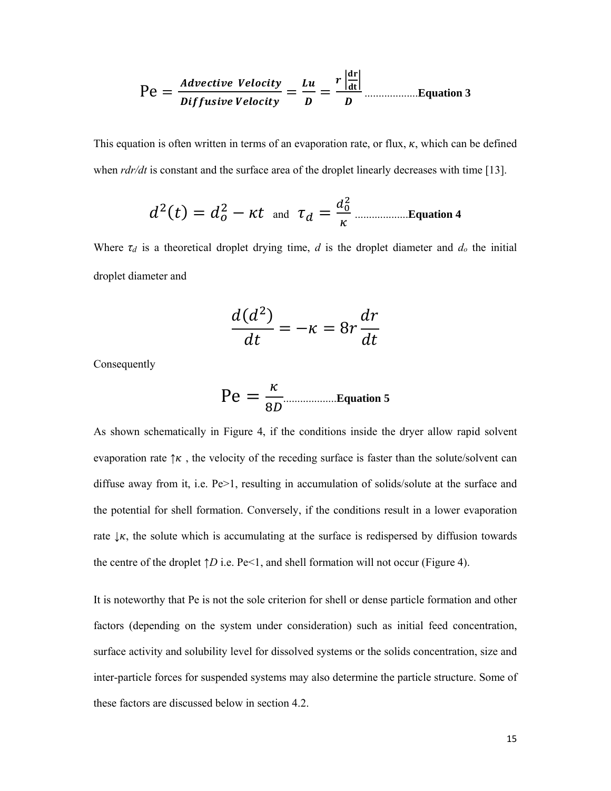࢚࢟ࢉࢋࢂ ࢋ࢚࢜ࢉࢋ࢜ࢊ ൌ Pe ࢛ࡸ ൌ ࢚࢟ࢉࢋࢂ ࢋ࢙࢛࢜ࢌࢌࡰ ቚ ࢘ ൌ ࡰ ቚܜ܌  **3 Equation**................... <sup>ࡰ</sup>

ܚ܌

This equation is often written in terms of an evaporation rate, or flux,  $\kappa$ , which can be defined when *rdr/dt* is constant and the surface area of the droplet linearly decreases with time [13].

݀ଶሺݐሻ ൌ ݀ <sup>ଶ</sup> െ ݐߢ and ߬ௗ ൌ ௗబ మ ...................**Equation 4**

Where  $\tau_d$  is a theoretical droplet drying time, *d* is the droplet diameter and  $d_o$  the initial droplet diameter and

$$
\frac{d(d^2)}{dt} = -\kappa = 8r \frac{dr}{dt}
$$

Consequently

$$
\text{Pe} = \frac{\kappa}{8D}
$$
Equation 5

As shown schematically in Figure 4, if the conditions inside the dryer allow rapid solvent evaporation rate  $\uparrow \kappa$ , the velocity of the receding surface is faster than the solute/solvent can diffuse away from it, i.e.  $Pe > 1$ , resulting in accumulation of solids/solute at the surface and the potential for shell formation. Conversely, if the conditions result in a lower evaporation rate  $\downarrow \kappa$ , the solute which is accumulating at the surface is redispersed by diffusion towards the centre of the droplet  $\uparrow D$  i.e. Pe<1, and shell formation will not occur (Figure 4).

It is noteworthy that Pe is not the sole criterion for shell or dense particle formation and other factors (depending on the system under consideration) such as initial feed concentration, surface activity and solubility level for dissolved systems or the solids concentration, size and inter-particle forces for suspended systems may also determine the particle structure. Some of these factors are discussed below in section 4.2.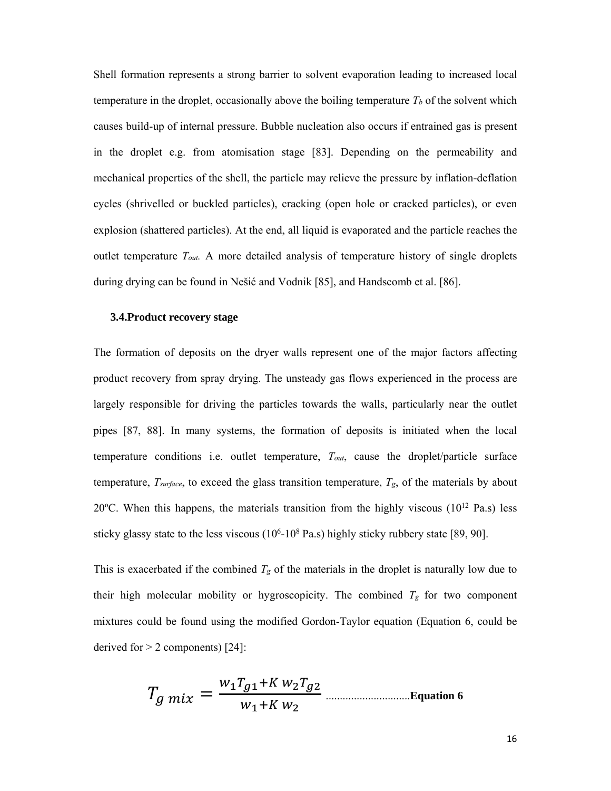Shell formation represents a strong barrier to solvent evaporation leading to increased local temperature in the droplet, occasionally above the boiling temperature  $T_b$  of the solvent which causes build-up of internal pressure. Bubble nucleation also occurs if entrained gas is present in the droplet e.g. from atomisation stage [83]. Depending on the permeability and mechanical properties of the shell, the particle may relieve the pressure by inflation-deflation cycles (shrivelled or buckled particles), cracking (open hole or cracked particles), or even explosion (shattered particles). At the end, all liquid is evaporated and the particle reaches the outlet temperature *Tout.* A more detailed analysis of temperature history of single droplets during drying can be found in Nešić and Vodnik [85], and Handscomb et al. [86].

### **3.4.Product recovery stage**

The formation of deposits on the dryer walls represent one of the major factors affecting product recovery from spray drying. The unsteady gas flows experienced in the process are largely responsible for driving the particles towards the walls, particularly near the outlet pipes [87, 88]. In many systems, the formation of deposits is initiated when the local temperature conditions i.e. outlet temperature, *Tout*, cause the droplet/particle surface temperature,  $T_{surface}$ , to exceed the glass transition temperature,  $T_{g}$ , of the materials by about 20 $^{\circ}$ C. When this happens, the materials transition from the highly viscous (10 $^{12}$  Pa.s) less sticky glassy state to the less viscous  $(10^6 \text{--} 10^8 \text{ Pa.s})$  highly sticky rubbery state [89, 90].

This is exacerbated if the combined  $T_g$  of the materials in the droplet is naturally low due to their high molecular mobility or hygroscopicity. The combined *Tg* for two component mixtures could be found using the modified Gordon-Taylor equation (Equation 6, could be derived for  $> 2$  components) [24]:

ܶ ௫ ൌ ௪భ்భା ௪మ்మ ௪భା ௪మ ..............................**Equation 6**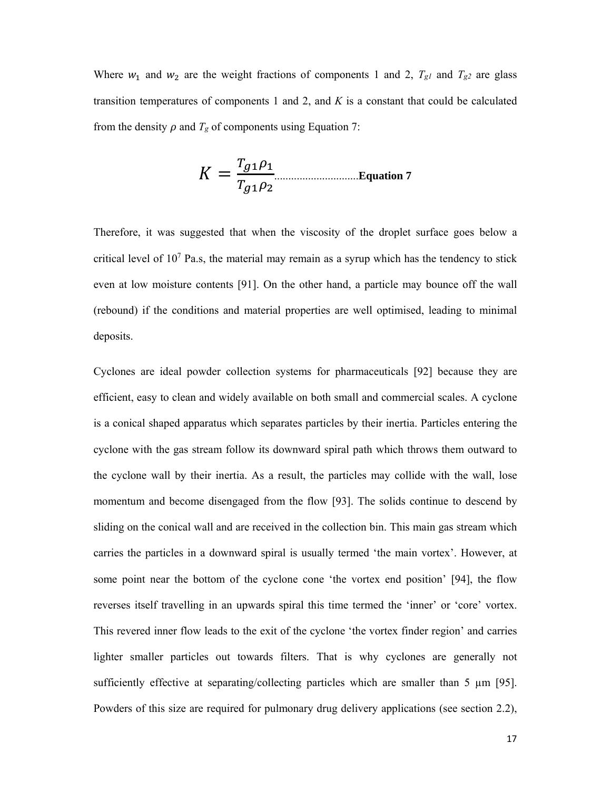Where  $w_1$  and  $w_2$  are the weight fractions of components 1 and 2,  $T_{gl}$  and  $T_{g2}$  are glass transition temperatures of components 1 and 2, and *K* is a constant that could be calculated from the density  $\rho$  and  $T_g$  of components using Equation 7:

$$
K = \frac{T_{g1}\rho_1}{T_{g1}\rho_2}
$$
... *Equation 7*

Therefore, it was suggested that when the viscosity of the droplet surface goes below a critical level of  $10<sup>7</sup>$  Pa.s, the material may remain as a syrup which has the tendency to stick even at low moisture contents [91]. On the other hand, a particle may bounce off the wall (rebound) if the conditions and material properties are well optimised, leading to minimal deposits.

Cyclones are ideal powder collection systems for pharmaceuticals [92] because they are efficient, easy to clean and widely available on both small and commercial scales. A cyclone is a conical shaped apparatus which separates particles by their inertia. Particles entering the cyclone with the gas stream follow its downward spiral path which throws them outward to the cyclone wall by their inertia. As a result, the particles may collide with the wall, lose momentum and become disengaged from the flow [93]. The solids continue to descend by sliding on the conical wall and are received in the collection bin. This main gas stream which carries the particles in a downward spiral is usually termed 'the main vortex'. However, at some point near the bottom of the cyclone cone 'the vortex end position' [94], the flow reverses itself travelling in an upwards spiral this time termed the 'inner' or 'core' vortex. This revered inner flow leads to the exit of the cyclone 'the vortex finder region' and carries lighter smaller particles out towards filters. That is why cyclones are generally not sufficiently effective at separating/collecting particles which are smaller than 5  $\mu$ m [95]. Powders of this size are required for pulmonary drug delivery applications (see section 2.2),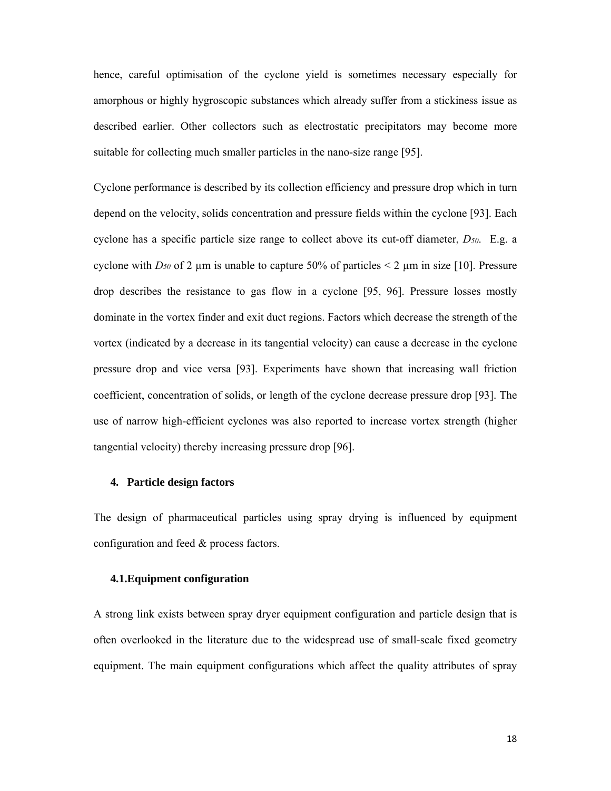hence, careful optimisation of the cyclone yield is sometimes necessary especially for amorphous or highly hygroscopic substances which already suffer from a stickiness issue as described earlier. Other collectors such as electrostatic precipitators may become more suitable for collecting much smaller particles in the nano-size range [95].

Cyclone performance is described by its collection efficiency and pressure drop which in turn depend on the velocity, solids concentration and pressure fields within the cyclone [93]. Each cyclone has a specific particle size range to collect above its cut-off diameter, *D50*. E.g. a cyclone with  $D_{50}$  of 2 µm is unable to capture 50% of particles  $\leq 2$  µm in size [10]. Pressure drop describes the resistance to gas flow in a cyclone [95, 96]. Pressure losses mostly dominate in the vortex finder and exit duct regions. Factors which decrease the strength of the vortex (indicated by a decrease in its tangential velocity) can cause a decrease in the cyclone pressure drop and vice versa [93]. Experiments have shown that increasing wall friction coefficient, concentration of solids, or length of the cyclone decrease pressure drop [93]. The use of narrow high-efficient cyclones was also reported to increase vortex strength (higher tangential velocity) thereby increasing pressure drop [96].

### **4. Particle design factors**

The design of pharmaceutical particles using spray drying is influenced by equipment configuration and feed & process factors.

## **4.1.Equipment configuration**

A strong link exists between spray dryer equipment configuration and particle design that is often overlooked in the literature due to the widespread use of small-scale fixed geometry equipment. The main equipment configurations which affect the quality attributes of spray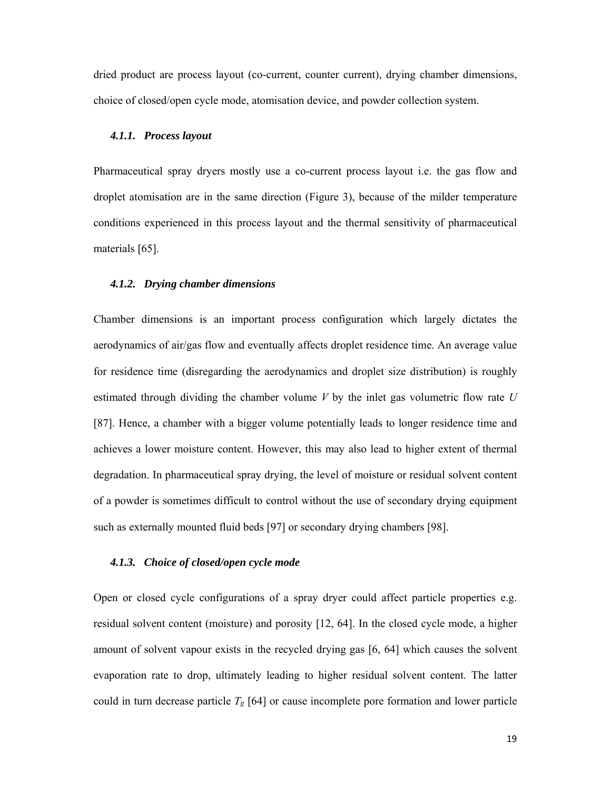dried product are process layout (co-current, counter current), drying chamber dimensions, choice of closed/open cycle mode, atomisation device, and powder collection system.

#### *4.1.1. Process layout*

Pharmaceutical spray dryers mostly use a co-current process layout i.e. the gas flow and droplet atomisation are in the same direction (Figure 3), because of the milder temperature conditions experienced in this process layout and the thermal sensitivity of pharmaceutical materials [65].

#### *4.1.2. Drying chamber dimensions*

Chamber dimensions is an important process configuration which largely dictates the aerodynamics of air/gas flow and eventually affects droplet residence time. An average value for residence time (disregarding the aerodynamics and droplet size distribution) is roughly estimated through dividing the chamber volume *V* by the inlet gas volumetric flow rate *U* [87]. Hence, a chamber with a bigger volume potentially leads to longer residence time and achieves a lower moisture content. However, this may also lead to higher extent of thermal degradation. In pharmaceutical spray drying, the level of moisture or residual solvent content of a powder is sometimes difficult to control without the use of secondary drying equipment such as externally mounted fluid beds [97] or secondary drying chambers [98].

### *4.1.3. Choice of closed/open cycle mode*

Open or closed cycle configurations of a spray dryer could affect particle properties e.g. residual solvent content (moisture) and porosity [12, 64]. In the closed cycle mode, a higher amount of solvent vapour exists in the recycled drying gas [6, 64] which causes the solvent evaporation rate to drop, ultimately leading to higher residual solvent content. The latter could in turn decrease particle *Tg* [64] or cause incomplete pore formation and lower particle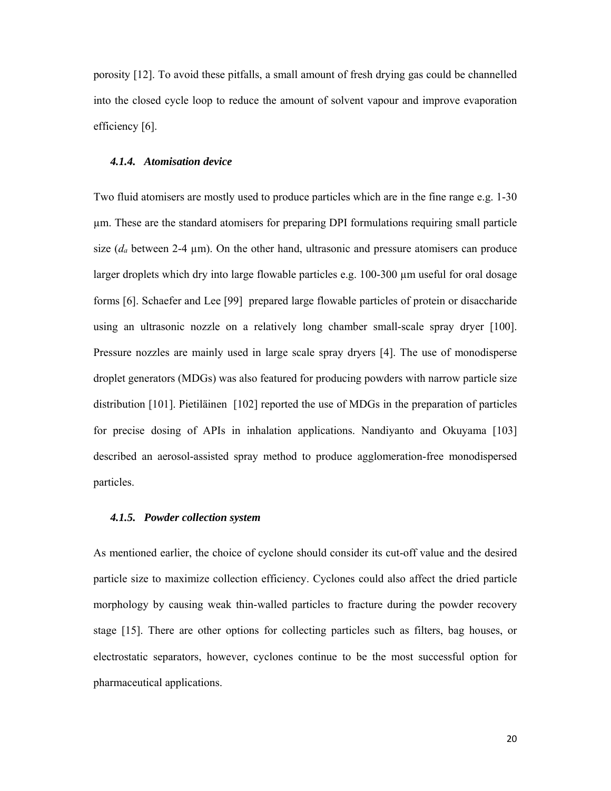porosity [12]. To avoid these pitfalls, a small amount of fresh drying gas could be channelled into the closed cycle loop to reduce the amount of solvent vapour and improve evaporation efficiency [6].

### *4.1.4. Atomisation device*

Two fluid atomisers are mostly used to produce particles which are in the fine range e.g. 1-30 µm. These are the standard atomisers for preparing DPI formulations requiring small particle size  $(d_a$  between 2-4  $\mu$ m). On the other hand, ultrasonic and pressure atomisers can produce larger droplets which dry into large flowable particles e.g. 100-300  $\mu$ m useful for oral dosage forms [6]. Schaefer and Lee [99] prepared large flowable particles of protein or disaccharide using an ultrasonic nozzle on a relatively long chamber small-scale spray dryer [100]. Pressure nozzles are mainly used in large scale spray dryers [4]. The use of monodisperse droplet generators (MDGs) was also featured for producing powders with narrow particle size distribution [101]. Pietiläinen [102] reported the use of MDGs in the preparation of particles for precise dosing of APIs in inhalation applications. Nandiyanto and Okuyama [103] described an aerosol-assisted spray method to produce agglomeration-free monodispersed particles.

### *4.1.5. Powder collection system*

As mentioned earlier, the choice of cyclone should consider its cut-off value and the desired particle size to maximize collection efficiency. Cyclones could also affect the dried particle morphology by causing weak thin-walled particles to fracture during the powder recovery stage [15]. There are other options for collecting particles such as filters, bag houses, or electrostatic separators, however, cyclones continue to be the most successful option for pharmaceutical applications.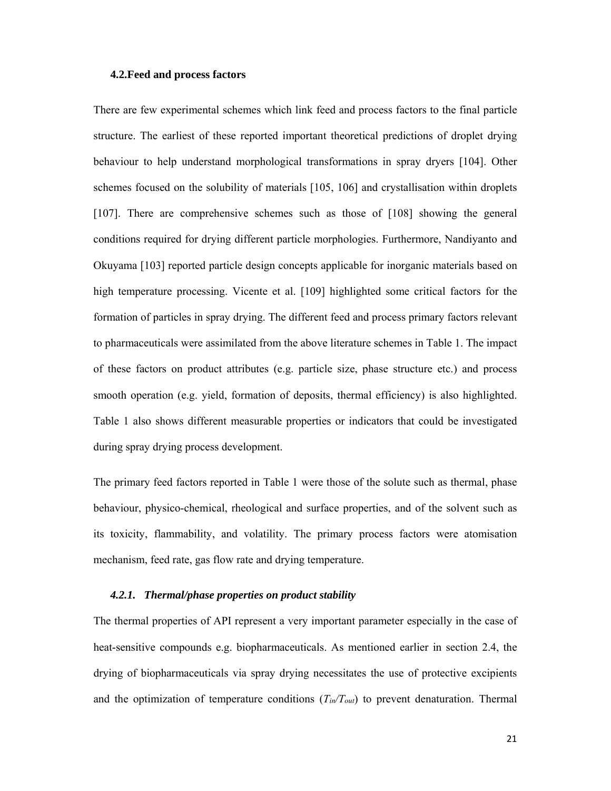### **4.2.Feed and process factors**

There are few experimental schemes which link feed and process factors to the final particle structure. The earliest of these reported important theoretical predictions of droplet drying behaviour to help understand morphological transformations in spray dryers [104]. Other schemes focused on the solubility of materials [105, 106] and crystallisation within droplets [107]. There are comprehensive schemes such as those of [108] showing the general conditions required for drying different particle morphologies. Furthermore, Nandiyanto and Okuyama [103] reported particle design concepts applicable for inorganic materials based on high temperature processing. Vicente et al. [109] highlighted some critical factors for the formation of particles in spray drying. The different feed and process primary factors relevant to pharmaceuticals were assimilated from the above literature schemes in Table 1. The impact of these factors on product attributes (e.g. particle size, phase structure etc.) and process smooth operation (e.g. yield, formation of deposits, thermal efficiency) is also highlighted. Table 1 also shows different measurable properties or indicators that could be investigated during spray drying process development.

The primary feed factors reported in Table 1 were those of the solute such as thermal, phase behaviour, physico-chemical, rheological and surface properties, and of the solvent such as its toxicity, flammability, and volatility. The primary process factors were atomisation mechanism, feed rate, gas flow rate and drying temperature.

### *4.2.1. Thermal/phase properties on product stability*

The thermal properties of API represent a very important parameter especially in the case of heat-sensitive compounds e.g. biopharmaceuticals. As mentioned earlier in section 2.4, the drying of biopharmaceuticals via spray drying necessitates the use of protective excipients and the optimization of temperature conditions (*Tin/Tout*) to prevent denaturation. Thermal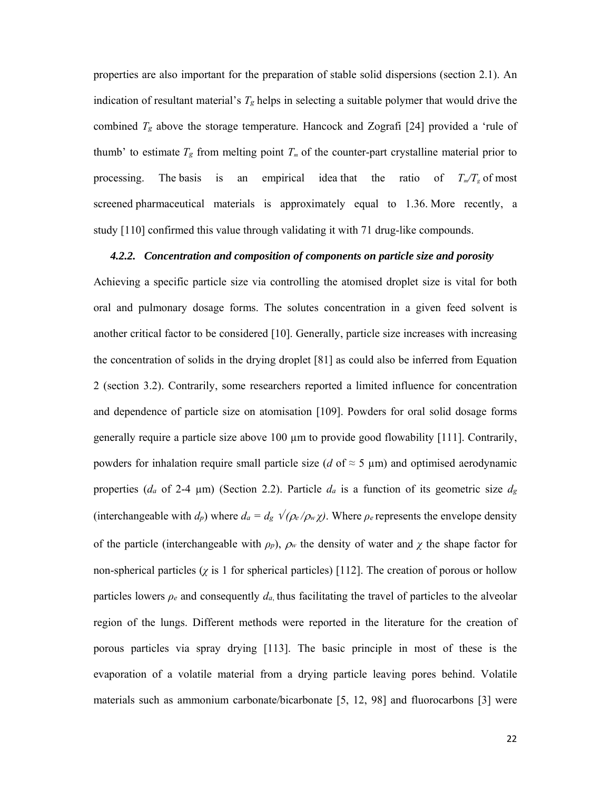properties are also important for the preparation of stable solid dispersions (section 2.1). An indication of resultant material's *Tg* helps in selecting a suitable polymer that would drive the combined *Tg* above the storage temperature. Hancock and Zografi [24] provided a 'rule of thumb' to estimate  $T_g$  from melting point  $T_m$  of the counter-part crystalline material prior to processing. The basis is an empirical idea that the ratio of  $T_m/T_g$  of most screened pharmaceutical materials is approximately equal to 1.36. More recently, a study [110] confirmed this value through validating it with 71 drug-like compounds.

### *4.2.2. Concentration and composition of components on particle size and porosity*

Achieving a specific particle size via controlling the atomised droplet size is vital for both oral and pulmonary dosage forms. The solutes concentration in a given feed solvent is another critical factor to be considered [10]. Generally, particle size increases with increasing the concentration of solids in the drying droplet [81] as could also be inferred from Equation 2 (section 3.2). Contrarily, some researchers reported a limited influence for concentration and dependence of particle size on atomisation [109]. Powders for oral solid dosage forms generally require a particle size above 100  $\mu$ m to provide good flowability [111]. Contrarily, powders for inhalation require small particle size (*d* of  $\approx$  5 µm) and optimised aerodynamic properties (*da* of 2-4 µm) (Section 2.2). Particle *da* is a function of its geometric size *dg* (interchangeable with  $d_p$ ) where  $d_a = d_g \sqrt{\rho_e / \rho_w \chi}$ ). Where  $\rho_e$  represents the envelope density of the particle (interchangeable with  $\rho_p$ ),  $\rho_w$  the density of water and  $\chi$  the shape factor for non-spherical particles  $(\chi)$  is 1 for spherical particles) [112]. The creation of porous or hollow particles lowers  $\rho_e$  and consequently  $d_a$ , thus facilitating the travel of particles to the alveolar region of the lungs. Different methods were reported in the literature for the creation of porous particles via spray drying [113]. The basic principle in most of these is the evaporation of a volatile material from a drying particle leaving pores behind. Volatile materials such as ammonium carbonate/bicarbonate [5, 12, 98] and fluorocarbons [3] were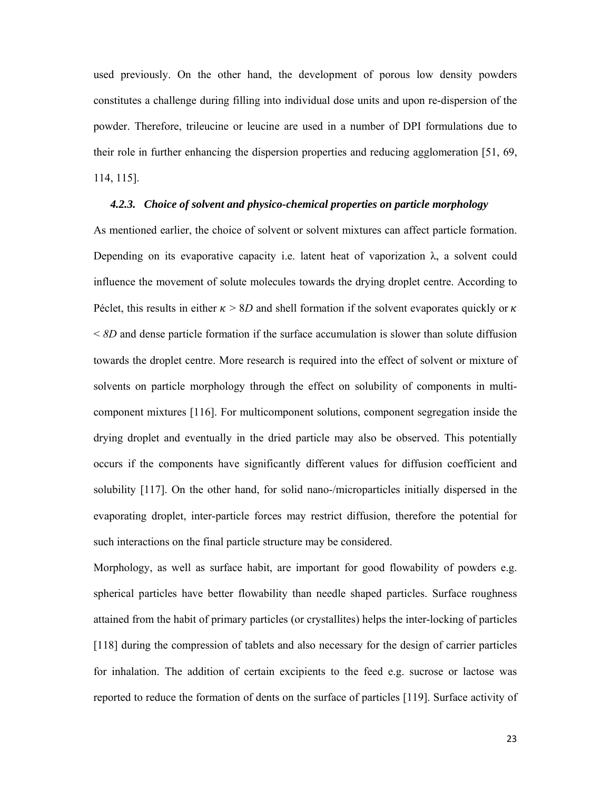used previously. On the other hand, the development of porous low density powders constitutes a challenge during filling into individual dose units and upon re-dispersion of the powder. Therefore, trileucine or leucine are used in a number of DPI formulations due to their role in further enhancing the dispersion properties and reducing agglomeration [51, 69, 114, 115].

#### *4.2.3. Choice of solvent and physico-chemical properties on particle morphology*

As mentioned earlier, the choice of solvent or solvent mixtures can affect particle formation. Depending on its evaporative capacity i.e. latent heat of vaporization  $\lambda$ , a solvent could influence the movement of solute molecules towards the drying droplet centre. According to Péclet, this results in either  $\kappa > 8D$  and shell formation if the solvent evaporates quickly or  $\kappa$ < *8D* and dense particle formation if the surface accumulation is slower than solute diffusion towards the droplet centre. More research is required into the effect of solvent or mixture of solvents on particle morphology through the effect on solubility of components in multicomponent mixtures [116]. For multicomponent solutions, component segregation inside the drying droplet and eventually in the dried particle may also be observed. This potentially occurs if the components have significantly different values for diffusion coefficient and solubility [117]. On the other hand, for solid nano-/microparticles initially dispersed in the evaporating droplet, inter-particle forces may restrict diffusion, therefore the potential for such interactions on the final particle structure may be considered.

Morphology, as well as surface habit, are important for good flowability of powders e.g. spherical particles have better flowability than needle shaped particles. Surface roughness attained from the habit of primary particles (or crystallites) helps the inter-locking of particles [118] during the compression of tablets and also necessary for the design of carrier particles for inhalation. The addition of certain excipients to the feed e.g. sucrose or lactose was reported to reduce the formation of dents on the surface of particles [119]. Surface activity of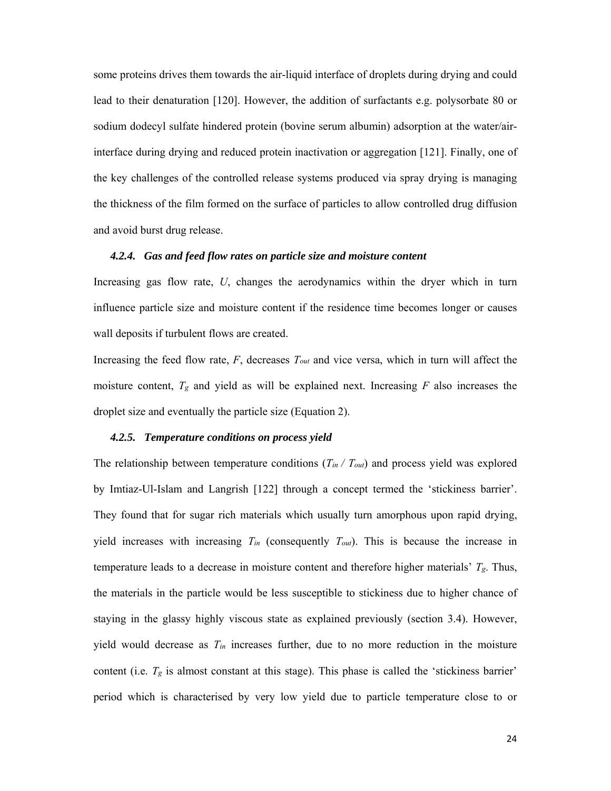some proteins drives them towards the air-liquid interface of droplets during drying and could lead to their denaturation [120]. However, the addition of surfactants e.g. polysorbate 80 or sodium dodecyl sulfate hindered protein (bovine serum albumin) adsorption at the water/airinterface during drying and reduced protein inactivation or aggregation [121]. Finally, one of the key challenges of the controlled release systems produced via spray drying is managing the thickness of the film formed on the surface of particles to allow controlled drug diffusion and avoid burst drug release.

### *4.2.4. Gas and feed flow rates on particle size and moisture content*

Increasing gas flow rate, *U*, changes the aerodynamics within the dryer which in turn influence particle size and moisture content if the residence time becomes longer or causes wall deposits if turbulent flows are created.

Increasing the feed flow rate, *F*, decreases *Tout* and vice versa, which in turn will affect the moisture content,  $T_g$  and yield as will be explained next. Increasing  $F$  also increases the droplet size and eventually the particle size (Equation 2).

#### *4.2.5. Temperature conditions on process yield*

The relationship between temperature conditions (*Tin / Tout*) and process yield was explored by Imtiaz-Ul-Islam and Langrish [122] through a concept termed the 'stickiness barrier'. They found that for sugar rich materials which usually turn amorphous upon rapid drying, yield increases with increasing *Tin* (consequently *Tout*). This is because the increase in temperature leads to a decrease in moisture content and therefore higher materials' *Tg*. Thus, the materials in the particle would be less susceptible to stickiness due to higher chance of staying in the glassy highly viscous state as explained previously (section 3.4). However, yield would decrease as *Tin* increases further, due to no more reduction in the moisture content (i.e. *Tg* is almost constant at this stage). This phase is called the 'stickiness barrier' period which is characterised by very low yield due to particle temperature close to or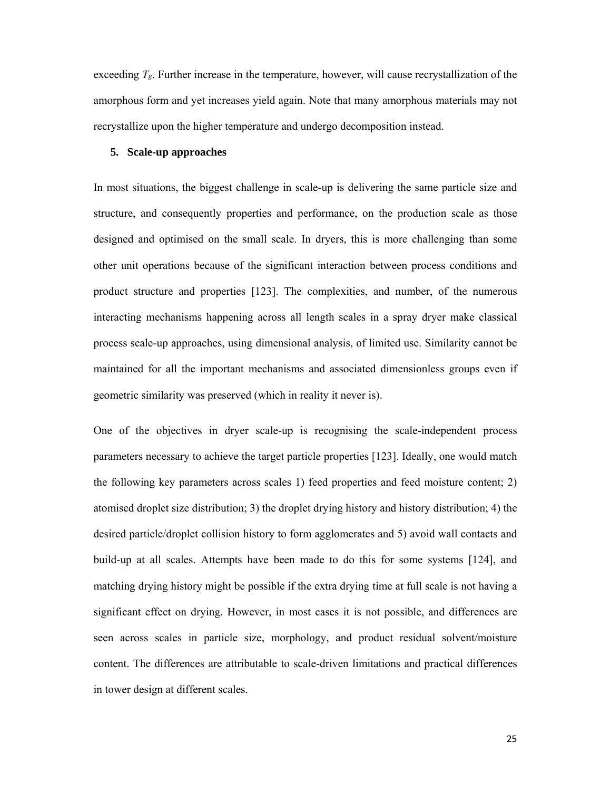exceeding  $T_g$ . Further increase in the temperature, however, will cause recrystallization of the amorphous form and yet increases yield again. Note that many amorphous materials may not recrystallize upon the higher temperature and undergo decomposition instead.

### **5. Scale-up approaches**

In most situations, the biggest challenge in scale-up is delivering the same particle size and structure, and consequently properties and performance, on the production scale as those designed and optimised on the small scale. In dryers, this is more challenging than some other unit operations because of the significant interaction between process conditions and product structure and properties [123]. The complexities, and number, of the numerous interacting mechanisms happening across all length scales in a spray dryer make classical process scale-up approaches, using dimensional analysis, of limited use. Similarity cannot be maintained for all the important mechanisms and associated dimensionless groups even if geometric similarity was preserved (which in reality it never is).

One of the objectives in dryer scale-up is recognising the scale-independent process parameters necessary to achieve the target particle properties [123]. Ideally, one would match the following key parameters across scales 1) feed properties and feed moisture content; 2) atomised droplet size distribution; 3) the droplet drying history and history distribution; 4) the desired particle/droplet collision history to form agglomerates and 5) avoid wall contacts and build-up at all scales. Attempts have been made to do this for some systems [124], and matching drying history might be possible if the extra drying time at full scale is not having a significant effect on drying. However, in most cases it is not possible, and differences are seen across scales in particle size, morphology, and product residual solvent/moisture content. The differences are attributable to scale-driven limitations and practical differences in tower design at different scales.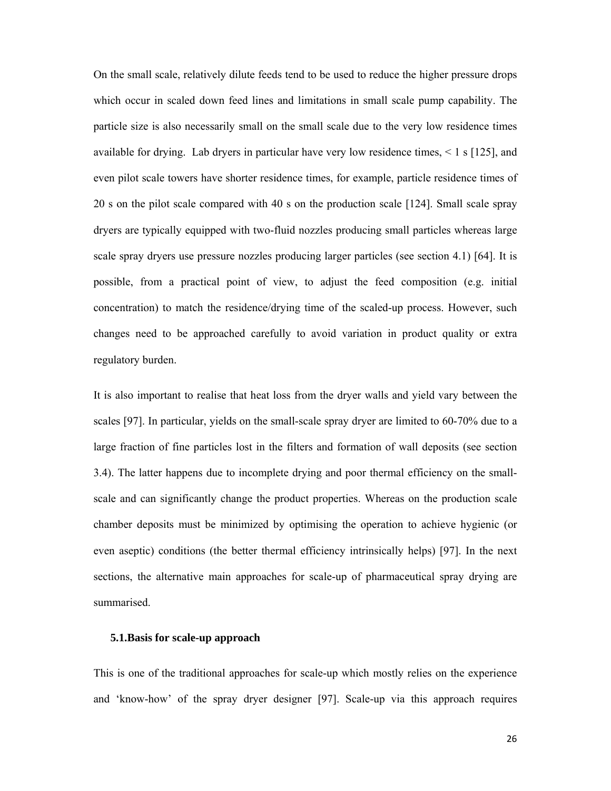On the small scale, relatively dilute feeds tend to be used to reduce the higher pressure drops which occur in scaled down feed lines and limitations in small scale pump capability. The particle size is also necessarily small on the small scale due to the very low residence times available for drying. Lab dryers in particular have very low residence times,  $\leq 1$  s [125], and even pilot scale towers have shorter residence times, for example, particle residence times of 20 s on the pilot scale compared with 40 s on the production scale [124]. Small scale spray dryers are typically equipped with two-fluid nozzles producing small particles whereas large scale spray dryers use pressure nozzles producing larger particles (see section 4.1) [64]. It is possible, from a practical point of view, to adjust the feed composition (e.g. initial concentration) to match the residence/drying time of the scaled-up process. However, such changes need to be approached carefully to avoid variation in product quality or extra regulatory burden.

It is also important to realise that heat loss from the dryer walls and yield vary between the scales [97]. In particular, yields on the small-scale spray dryer are limited to 60-70% due to a large fraction of fine particles lost in the filters and formation of wall deposits (see section 3.4). The latter happens due to incomplete drying and poor thermal efficiency on the smallscale and can significantly change the product properties. Whereas on the production scale chamber deposits must be minimized by optimising the operation to achieve hygienic (or even aseptic) conditions (the better thermal efficiency intrinsically helps) [97]. In the next sections, the alternative main approaches for scale-up of pharmaceutical spray drying are summarised.

### **5.1.Basis for scale-up approach**

This is one of the traditional approaches for scale-up which mostly relies on the experience and 'know-how' of the spray dryer designer [97]. Scale-up via this approach requires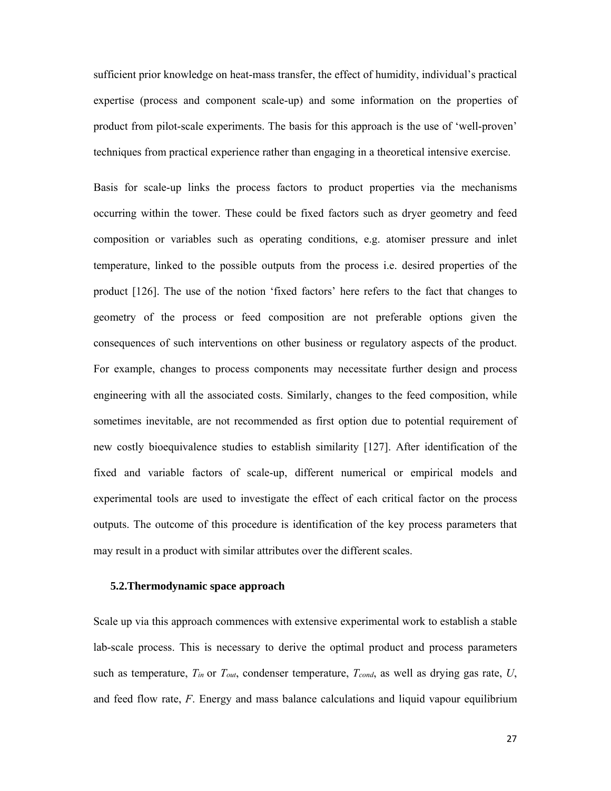sufficient prior knowledge on heat-mass transfer, the effect of humidity, individual's practical expertise (process and component scale-up) and some information on the properties of product from pilot-scale experiments. The basis for this approach is the use of 'well-proven' techniques from practical experience rather than engaging in a theoretical intensive exercise.

Basis for scale-up links the process factors to product properties via the mechanisms occurring within the tower. These could be fixed factors such as dryer geometry and feed composition or variables such as operating conditions, e.g. atomiser pressure and inlet temperature, linked to the possible outputs from the process i.e. desired properties of the product [126]. The use of the notion 'fixed factors' here refers to the fact that changes to geometry of the process or feed composition are not preferable options given the consequences of such interventions on other business or regulatory aspects of the product. For example, changes to process components may necessitate further design and process engineering with all the associated costs. Similarly, changes to the feed composition, while sometimes inevitable, are not recommended as first option due to potential requirement of new costly bioequivalence studies to establish similarity [127]. After identification of the fixed and variable factors of scale-up, different numerical or empirical models and experimental tools are used to investigate the effect of each critical factor on the process outputs. The outcome of this procedure is identification of the key process parameters that may result in a product with similar attributes over the different scales.

#### **5.2.Thermodynamic space approach**

Scale up via this approach commences with extensive experimental work to establish a stable lab-scale process. This is necessary to derive the optimal product and process parameters such as temperature,  $T_{in}$  or  $T_{out}$ , condenser temperature,  $T_{cond}$ , as well as drying gas rate,  $U$ , and feed flow rate, *F*. Energy and mass balance calculations and liquid vapour equilibrium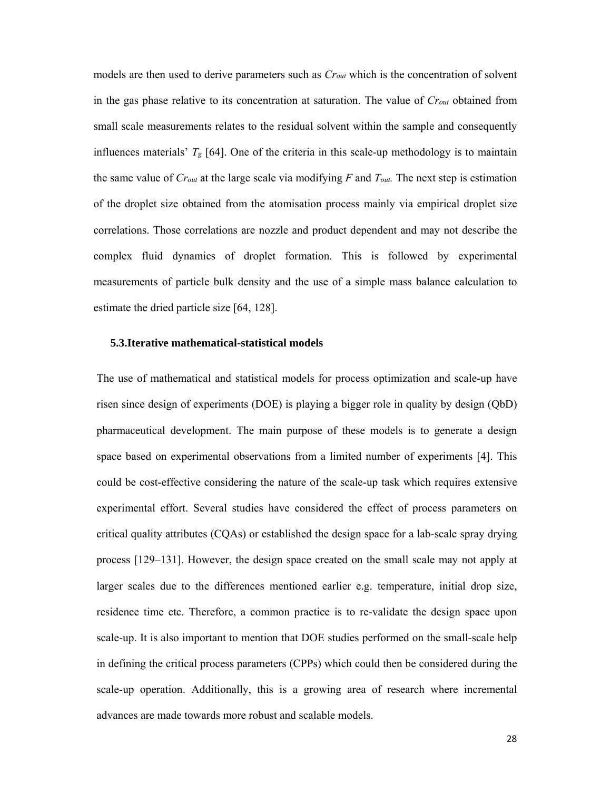models are then used to derive parameters such as *Crout* which is the concentration of solvent in the gas phase relative to its concentration at saturation. The value of *Crout* obtained from small scale measurements relates to the residual solvent within the sample and consequently influences materials'  $T_g$  [64]. One of the criteria in this scale-up methodology is to maintain the same value of *Crout* at the large scale via modifying *F* and *Tout.* The next step is estimation of the droplet size obtained from the atomisation process mainly via empirical droplet size correlations. Those correlations are nozzle and product dependent and may not describe the complex fluid dynamics of droplet formation. This is followed by experimental measurements of particle bulk density and the use of a simple mass balance calculation to estimate the dried particle size [64, 128].

### **5.3.Iterative mathematical-statistical models**

The use of mathematical and statistical models for process optimization and scale-up have risen since design of experiments (DOE) is playing a bigger role in quality by design (QbD) pharmaceutical development. The main purpose of these models is to generate a design space based on experimental observations from a limited number of experiments [4]. This could be cost-effective considering the nature of the scale-up task which requires extensive experimental effort. Several studies have considered the effect of process parameters on critical quality attributes (CQAs) or established the design space for a lab-scale spray drying process [129–131]. However, the design space created on the small scale may not apply at larger scales due to the differences mentioned earlier e.g. temperature, initial drop size, residence time etc. Therefore, a common practice is to re-validate the design space upon scale-up. It is also important to mention that DOE studies performed on the small-scale help in defining the critical process parameters (CPPs) which could then be considered during the scale-up operation. Additionally, this is a growing area of research where incremental advances are made towards more robust and scalable models.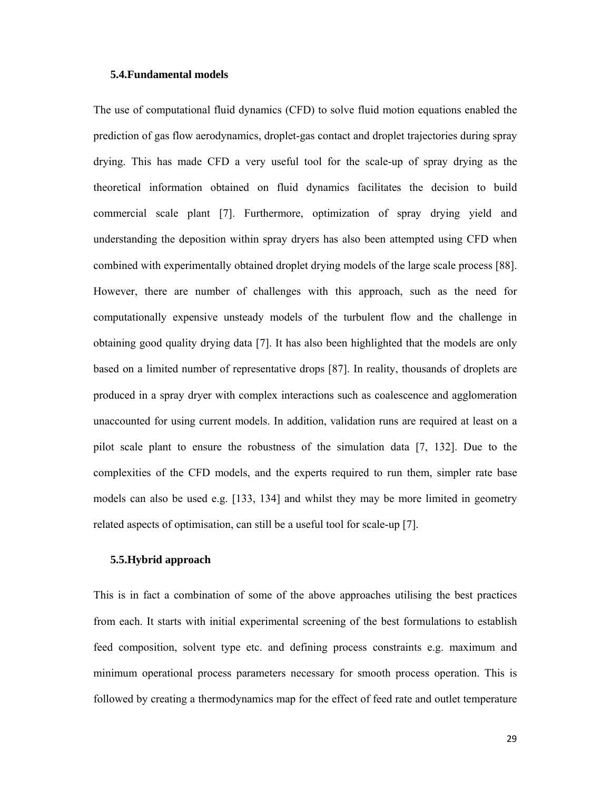### **5.4.Fundamental models**

The use of computational fluid dynamics (CFD) to solve fluid motion equations enabled the prediction of gas flow aerodynamics, droplet-gas contact and droplet trajectories during spray drying. This has made CFD a very useful tool for the scale-up of spray drying as the theoretical information obtained on fluid dynamics facilitates the decision to build commercial scale plant [7]. Furthermore, optimization of spray drying yield and understanding the deposition within spray dryers has also been attempted using CFD when combined with experimentally obtained droplet drying models of the large scale process [88]. However, there are number of challenges with this approach, such as the need for computationally expensive unsteady models of the turbulent flow and the challenge in obtaining good quality drying data [7]. It has also been highlighted that the models are only based on a limited number of representative drops [87]. In reality, thousands of droplets are produced in a spray dryer with complex interactions such as coalescence and agglomeration unaccounted for using current models. In addition, validation runs are required at least on a pilot scale plant to ensure the robustness of the simulation data [7, 132]. Due to the complexities of the CFD models, and the experts required to run them, simpler rate base models can also be used e.g. [133, 134] and whilst they may be more limited in geometry related aspects of optimisation, can still be a useful tool for scale-up [7].

## **5.5.Hybrid approach**

This is in fact a combination of some of the above approaches utilising the best practices from each. It starts with initial experimental screening of the best formulations to establish feed composition, solvent type etc. and defining process constraints e.g. maximum and minimum operational process parameters necessary for smooth process operation. This is followed by creating a thermodynamics map for the effect of feed rate and outlet temperature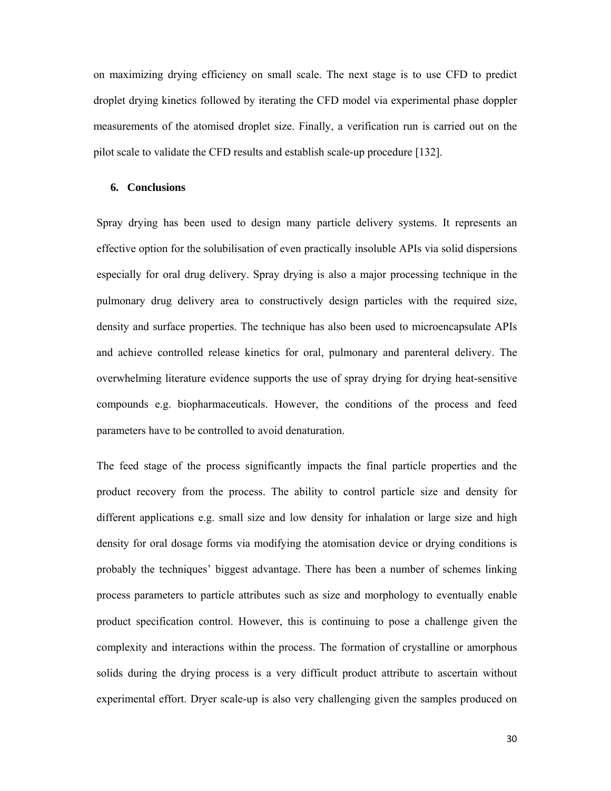on maximizing drying efficiency on small scale. The next stage is to use CFD to predict droplet drying kinetics followed by iterating the CFD model via experimental phase doppler measurements of the atomised droplet size. Finally, a verification run is carried out on the pilot scale to validate the CFD results and establish scale-up procedure [132].

### **6. Conclusions**

Spray drying has been used to design many particle delivery systems. It represents an effective option for the solubilisation of even practically insoluble APIs via solid dispersions especially for oral drug delivery. Spray drying is also a major processing technique in the pulmonary drug delivery area to constructively design particles with the required size, density and surface properties. The technique has also been used to microencapsulate APIs and achieve controlled release kinetics for oral, pulmonary and parenteral delivery. The overwhelming literature evidence supports the use of spray drying for drying heat-sensitive compounds e.g. biopharmaceuticals. However, the conditions of the process and feed parameters have to be controlled to avoid denaturation.

The feed stage of the process significantly impacts the final particle properties and the product recovery from the process. The ability to control particle size and density for different applications e.g. small size and low density for inhalation or large size and high density for oral dosage forms via modifying the atomisation device or drying conditions is probably the techniques' biggest advantage. There has been a number of schemes linking process parameters to particle attributes such as size and morphology to eventually enable product specification control. However, this is continuing to pose a challenge given the complexity and interactions within the process. The formation of crystalline or amorphous solids during the drying process is a very difficult product attribute to ascertain without experimental effort. Dryer scale-up is also very challenging given the samples produced on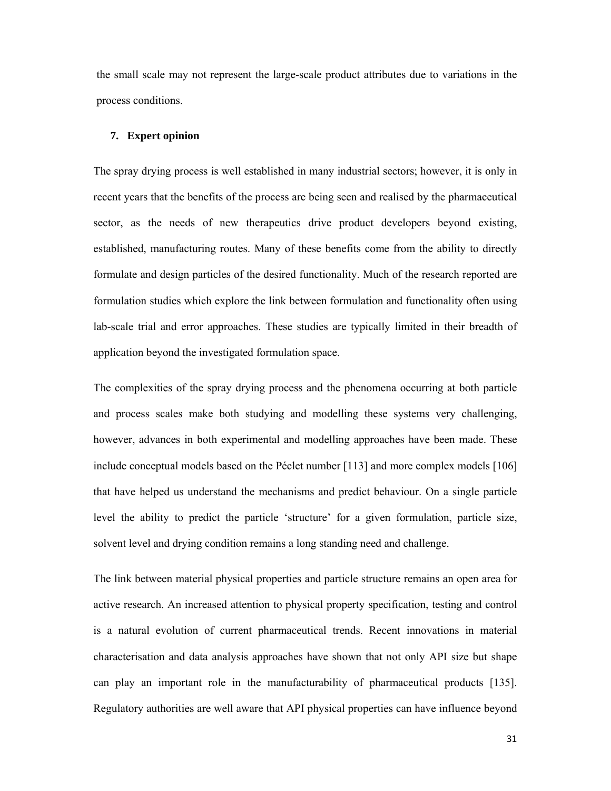the small scale may not represent the large-scale product attributes due to variations in the process conditions.

#### **7. Expert opinion**

The spray drying process is well established in many industrial sectors; however, it is only in recent years that the benefits of the process are being seen and realised by the pharmaceutical sector, as the needs of new therapeutics drive product developers beyond existing, established, manufacturing routes. Many of these benefits come from the ability to directly formulate and design particles of the desired functionality. Much of the research reported are formulation studies which explore the link between formulation and functionality often using lab-scale trial and error approaches. These studies are typically limited in their breadth of application beyond the investigated formulation space.

The complexities of the spray drying process and the phenomena occurring at both particle and process scales make both studying and modelling these systems very challenging, however, advances in both experimental and modelling approaches have been made. These include conceptual models based on the Péclet number [113] and more complex models [106] that have helped us understand the mechanisms and predict behaviour. On a single particle level the ability to predict the particle 'structure' for a given formulation, particle size, solvent level and drying condition remains a long standing need and challenge.

The link between material physical properties and particle structure remains an open area for active research. An increased attention to physical property specification, testing and control is a natural evolution of current pharmaceutical trends. Recent innovations in material characterisation and data analysis approaches have shown that not only API size but shape can play an important role in the manufacturability of pharmaceutical products [135]. Regulatory authorities are well aware that API physical properties can have influence beyond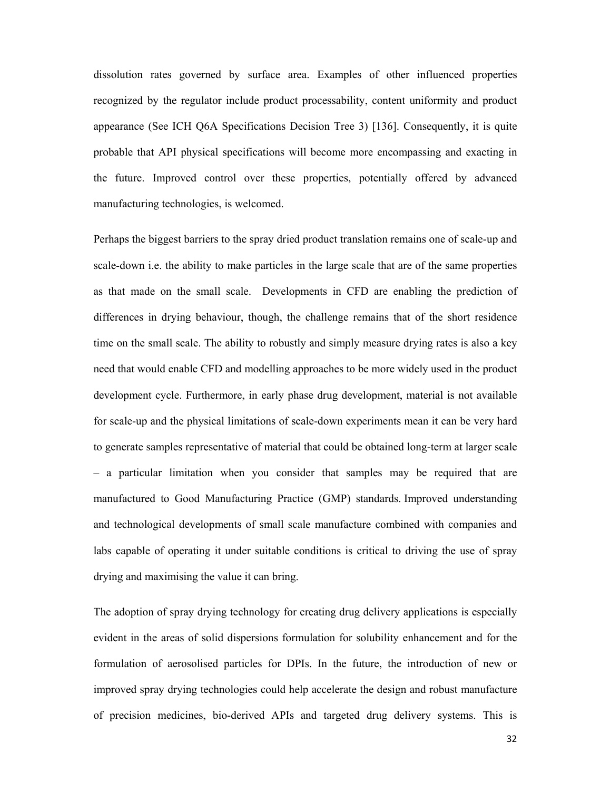dissolution rates governed by surface area. Examples of other influenced properties recognized by the regulator include product processability, content uniformity and product appearance (See ICH Q6A Specifications Decision Tree 3) [136]. Consequently, it is quite probable that API physical specifications will become more encompassing and exacting in the future. Improved control over these properties, potentially offered by advanced manufacturing technologies, is welcomed.

Perhaps the biggest barriers to the spray dried product translation remains one of scale-up and scale-down i.e. the ability to make particles in the large scale that are of the same properties as that made on the small scale. Developments in CFD are enabling the prediction of differences in drying behaviour, though, the challenge remains that of the short residence time on the small scale. The ability to robustly and simply measure drying rates is also a key need that would enable CFD and modelling approaches to be more widely used in the product development cycle. Furthermore, in early phase drug development, material is not available for scale-up and the physical limitations of scale-down experiments mean it can be very hard to generate samples representative of material that could be obtained long-term at larger scale – a particular limitation when you consider that samples may be required that are manufactured to Good Manufacturing Practice (GMP) standards. Improved understanding and technological developments of small scale manufacture combined with companies and labs capable of operating it under suitable conditions is critical to driving the use of spray drying and maximising the value it can bring.

The adoption of spray drying technology for creating drug delivery applications is especially evident in the areas of solid dispersions formulation for solubility enhancement and for the formulation of aerosolised particles for DPIs. In the future, the introduction of new or improved spray drying technologies could help accelerate the design and robust manufacture of precision medicines, bio-derived APIs and targeted drug delivery systems. This is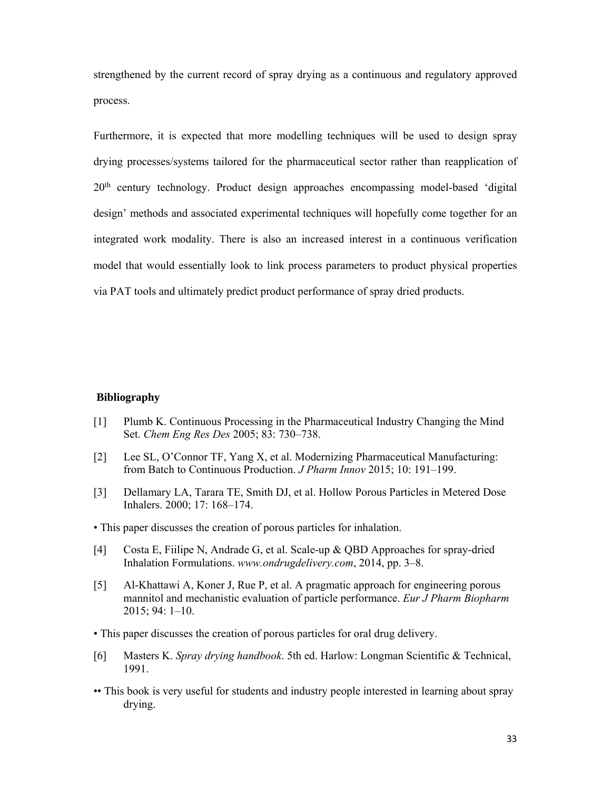strengthened by the current record of spray drying as a continuous and regulatory approved process.

Furthermore, it is expected that more modelling techniques will be used to design spray drying processes/systems tailored for the pharmaceutical sector rather than reapplication of  $20<sup>th</sup>$  century technology. Product design approaches encompassing model-based 'digital design' methods and associated experimental techniques will hopefully come together for an integrated work modality. There is also an increased interest in a continuous verification model that would essentially look to link process parameters to product physical properties via PAT tools and ultimately predict product performance of spray dried products.

#### **Bibliography**

- [1] Plumb K. Continuous Processing in the Pharmaceutical Industry Changing the Mind Set. *Chem Eng Res Des* 2005; 83: 730–738.
- [2] Lee SL, O'Connor TF, Yang X, et al. Modernizing Pharmaceutical Manufacturing: from Batch to Continuous Production. *J Pharm Innov* 2015; 10: 191–199.
- [3] Dellamary LA, Tarara TE, Smith DJ, et al. Hollow Porous Particles in Metered Dose Inhalers. 2000; 17: 168–174.
- This paper discusses the creation of porous particles for inhalation.
- [4] Costa E, Fiilipe N, Andrade G, et al. Scale-up & QBD Approaches for spray-dried Inhalation Formulations. *www.ondrugdelivery.com*, 2014, pp. 3–8.
- [5] Al-Khattawi A, Koner J, Rue P, et al. A pragmatic approach for engineering porous mannitol and mechanistic evaluation of particle performance. *Eur J Pharm Biopharm* 2015; 94: 1–10.
- This paper discusses the creation of porous particles for oral drug delivery.
- [6] Masters K. *Spray drying handbook*. 5th ed. Harlow: Longman Scientific & Technical, 1991.
- •• This book is very useful for students and industry people interested in learning about spray drying.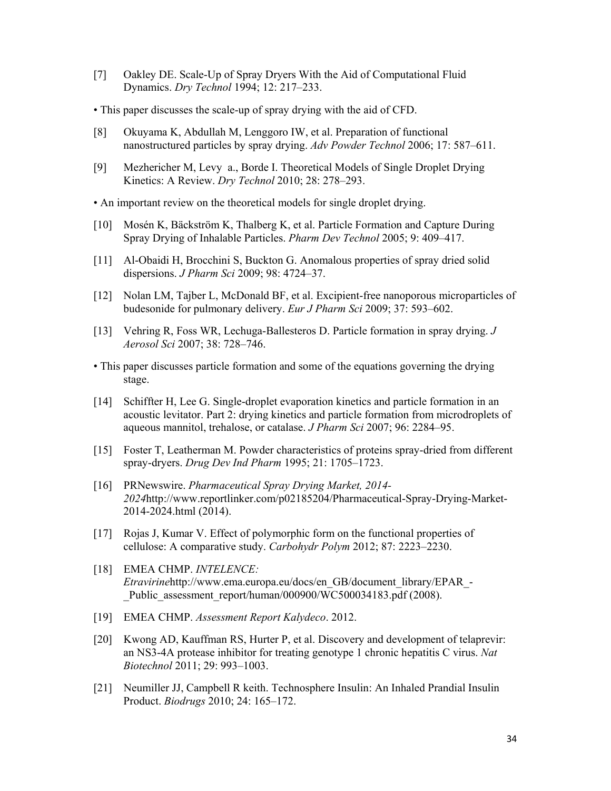- [7] Oakley DE. Scale-Up of Spray Dryers With the Aid of Computational Fluid Dynamics. *Dry Technol* 1994; 12: 217–233.
- This paper discusses the scale-up of spray drying with the aid of CFD.
- [8] Okuyama K, Abdullah M, Lenggoro IW, et al. Preparation of functional nanostructured particles by spray drying. *Adv Powder Technol* 2006; 17: 587–611.
- [9] Mezhericher M, Levy a., Borde I. Theoretical Models of Single Droplet Drying Kinetics: A Review. *Dry Technol* 2010; 28: 278–293.
- An important review on the theoretical models for single droplet drying.
- [10] Mosén K, Bäckström K, Thalberg K, et al. Particle Formation and Capture During Spray Drying of Inhalable Particles. *Pharm Dev Technol* 2005; 9: 409–417.
- [11] Al-Obaidi H, Brocchini S, Buckton G. Anomalous properties of spray dried solid dispersions. *J Pharm Sci* 2009; 98: 4724–37.
- [12] Nolan LM, Tajber L, McDonald BF, et al. Excipient-free nanoporous microparticles of budesonide for pulmonary delivery. *Eur J Pharm Sci* 2009; 37: 593–602.
- [13] Vehring R, Foss WR, Lechuga-Ballesteros D. Particle formation in spray drying. *J Aerosol Sci* 2007; 38: 728–746.
- This paper discusses particle formation and some of the equations governing the drying stage.
- [14] Schiffter H, Lee G. Single-droplet evaporation kinetics and particle formation in an acoustic levitator. Part 2: drying kinetics and particle formation from microdroplets of aqueous mannitol, trehalose, or catalase. *J Pharm Sci* 2007; 96: 2284–95.
- [15] Foster T, Leatherman M. Powder characteristics of proteins spray-dried from different spray-dryers. *Drug Dev Ind Pharm* 1995; 21: 1705–1723.
- [16] PRNewswire. *Pharmaceutical Spray Drying Market, 2014- 2024*http://www.reportlinker.com/p02185204/Pharmaceutical-Spray-Drying-Market-2014-2024.html (2014).
- [17] Rojas J, Kumar V. Effect of polymorphic form on the functional properties of cellulose: A comparative study. *Carbohydr Polym* 2012; 87: 2223–2230.
- [18] EMEA CHMP. *INTELENCE: Etravirine*http://www.ema.europa.eu/docs/en\_GB/document\_library/EPAR\_- \_Public\_assessment\_report/human/000900/WC500034183.pdf (2008).
- [19] EMEA CHMP. *Assessment Report Kalydeco*. 2012.
- [20] Kwong AD, Kauffman RS, Hurter P, et al. Discovery and development of telaprevir: an NS3-4A protease inhibitor for treating genotype 1 chronic hepatitis C virus. *Nat Biotechnol* 2011; 29: 993–1003.
- [21] Neumiller JJ, Campbell R keith. Technosphere Insulin: An Inhaled Prandial Insulin Product. *Biodrugs* 2010; 24: 165–172.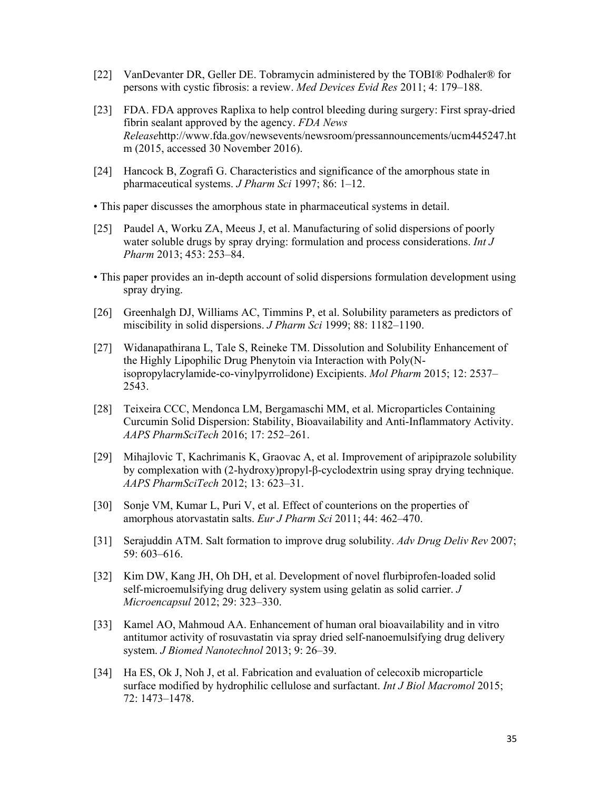- [22] VanDevanter DR, Geller DE. Tobramycin administered by the TOBI® Podhaler® for persons with cystic fibrosis: a review. *Med Devices Evid Res* 2011; 4: 179–188.
- [23] FDA. FDA approves Raplixa to help control bleeding during surgery: First spray-dried fibrin sealant approved by the agency. *FDA News Release*http://www.fda.gov/newsevents/newsroom/pressannouncements/ucm445247.ht m (2015, accessed 30 November 2016).
- [24] Hancock B, Zografi G. Characteristics and significance of the amorphous state in pharmaceutical systems. *J Pharm Sci* 1997; 86: 1–12.
- This paper discusses the amorphous state in pharmaceutical systems in detail.
- [25] Paudel A, Worku ZA, Meeus J, et al. Manufacturing of solid dispersions of poorly water soluble drugs by spray drying: formulation and process considerations. *Int J Pharm* 2013; 453: 253–84.
- This paper provides an in-depth account of solid dispersions formulation development using spray drying.
- [26] Greenhalgh DJ, Williams AC, Timmins P, et al. Solubility parameters as predictors of miscibility in solid dispersions. *J Pharm Sci* 1999; 88: 1182–1190.
- [27] Widanapathirana L, Tale S, Reineke TM. Dissolution and Solubility Enhancement of the Highly Lipophilic Drug Phenytoin via Interaction with Poly(Nisopropylacrylamide-co-vinylpyrrolidone) Excipients. *Mol Pharm* 2015; 12: 2537– 2543.
- [28] Teixeira CCC, Mendonca LM, Bergamaschi MM, et al. Microparticles Containing Curcumin Solid Dispersion: Stability, Bioavailability and Anti-Inflammatory Activity. *AAPS PharmSciTech* 2016; 17: 252–261.
- [29] Mihajlovic T, Kachrimanis K, Graovac A, et al. Improvement of aripiprazole solubility by complexation with (2-hydroxy)propyl-β-cyclodextrin using spray drying technique. *AAPS PharmSciTech* 2012; 13: 623–31.
- [30] Sonje VM, Kumar L, Puri V, et al. Effect of counterions on the properties of amorphous atorvastatin salts. *Eur J Pharm Sci* 2011; 44: 462–470.
- [31] Serajuddin ATM. Salt formation to improve drug solubility. *Adv Drug Deliv Rev* 2007; 59: 603–616.
- [32] Kim DW, Kang JH, Oh DH, et al. Development of novel flurbiprofen-loaded solid self-microemulsifying drug delivery system using gelatin as solid carrier. *J Microencapsul* 2012; 29: 323–330.
- [33] Kamel AO, Mahmoud AA. Enhancement of human oral bioavailability and in vitro antitumor activity of rosuvastatin via spray dried self-nanoemulsifying drug delivery system. *J Biomed Nanotechnol* 2013; 9: 26–39.
- [34] Ha ES, Ok J, Noh J, et al. Fabrication and evaluation of celecoxib microparticle surface modified by hydrophilic cellulose and surfactant. *Int J Biol Macromol* 2015; 72: 1473–1478.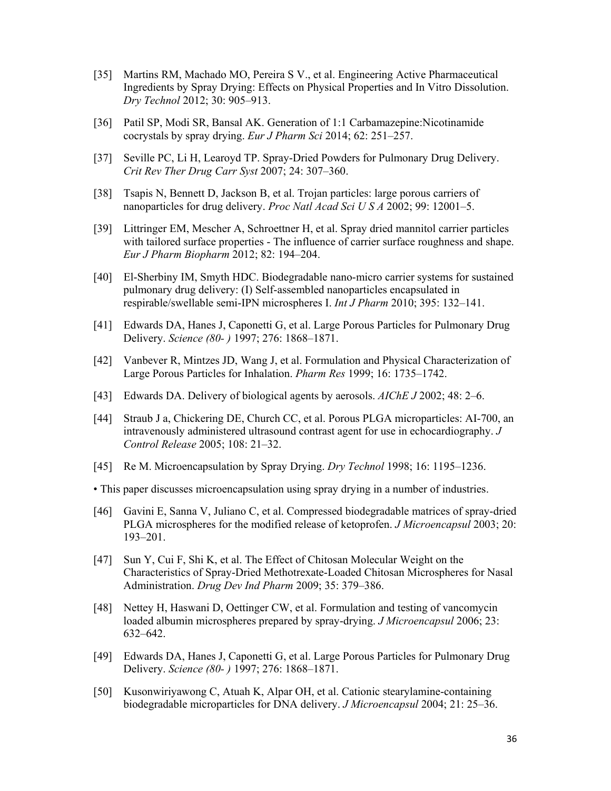- [35] Martins RM, Machado MO, Pereira S V., et al. Engineering Active Pharmaceutical Ingredients by Spray Drying: Effects on Physical Properties and In Vitro Dissolution. *Dry Technol* 2012; 30: 905–913.
- [36] Patil SP, Modi SR, Bansal AK. Generation of 1:1 Carbamazepine:Nicotinamide cocrystals by spray drying. *Eur J Pharm Sci* 2014; 62: 251–257.
- [37] Seville PC, Li H, Learoyd TP. Spray-Dried Powders for Pulmonary Drug Delivery. *Crit Rev Ther Drug Carr Syst* 2007; 24: 307–360.
- [38] Tsapis N, Bennett D, Jackson B, et al. Trojan particles: large porous carriers of nanoparticles for drug delivery. *Proc Natl Acad Sci U S A* 2002; 99: 12001–5.
- [39] Littringer EM, Mescher A, Schroettner H, et al. Spray dried mannitol carrier particles with tailored surface properties - The influence of carrier surface roughness and shape. *Eur J Pharm Biopharm* 2012; 82: 194–204.
- [40] El-Sherbiny IM, Smyth HDC. Biodegradable nano-micro carrier systems for sustained pulmonary drug delivery: (I) Self-assembled nanoparticles encapsulated in respirable/swellable semi-IPN microspheres I. *Int J Pharm* 2010; 395: 132–141.
- [41] Edwards DA, Hanes J, Caponetti G, et al. Large Porous Particles for Pulmonary Drug Delivery. *Science (80- )* 1997; 276: 1868–1871.
- [42] Vanbever R, Mintzes JD, Wang J, et al. Formulation and Physical Characterization of Large Porous Particles for Inhalation. *Pharm Res* 1999; 16: 1735–1742.
- [43] Edwards DA. Delivery of biological agents by aerosols. *AIChE J* 2002; 48: 2–6.
- [44] Straub J a, Chickering DE, Church CC, et al. Porous PLGA microparticles: AI-700, an intravenously administered ultrasound contrast agent for use in echocardiography. *J Control Release* 2005; 108: 21–32.
- [45] Re M. Microencapsulation by Spray Drying. *Dry Technol* 1998; 16: 1195–1236.
- This paper discusses microencapsulation using spray drying in a number of industries.
- [46] Gavini E, Sanna V, Juliano C, et al. Compressed biodegradable matrices of spray-dried PLGA microspheres for the modified release of ketoprofen. *J Microencapsul* 2003; 20: 193–201.
- [47] Sun Y, Cui F, Shi K, et al. The Effect of Chitosan Molecular Weight on the Characteristics of Spray-Dried Methotrexate-Loaded Chitosan Microspheres for Nasal Administration. *Drug Dev Ind Pharm* 2009; 35: 379–386.
- [48] Nettey H, Haswani D, Oettinger CW, et al. Formulation and testing of vancomycin loaded albumin microspheres prepared by spray-drying. *J Microencapsul* 2006; 23: 632–642.
- [49] Edwards DA, Hanes J, Caponetti G, et al. Large Porous Particles for Pulmonary Drug Delivery. *Science (80- )* 1997; 276: 1868–1871.
- [50] Kusonwiriyawong C, Atuah K, Alpar OH, et al. Cationic stearylamine-containing biodegradable microparticles for DNA delivery. *J Microencapsul* 2004; 21: 25–36.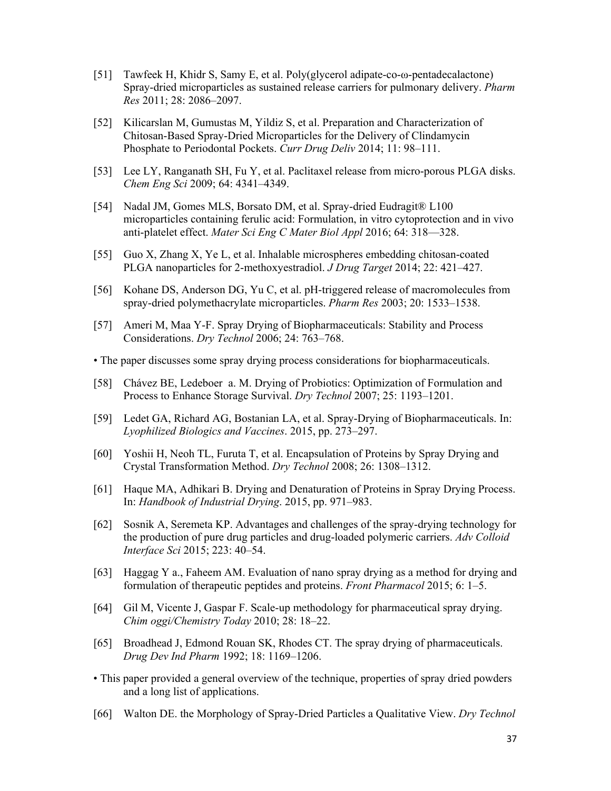- [51] Tawfeek H, Khidr S, Samy E, et al. Poly(glycerol adipate-co-ω-pentadecalactone) Spray-dried microparticles as sustained release carriers for pulmonary delivery. *Pharm Res* 2011; 28: 2086–2097.
- [52] Kilicarslan M, Gumustas M, Yildiz S, et al. Preparation and Characterization of Chitosan-Based Spray-Dried Microparticles for the Delivery of Clindamycin Phosphate to Periodontal Pockets. *Curr Drug Deliv* 2014; 11: 98–111.
- [53] Lee LY, Ranganath SH, Fu Y, et al. Paclitaxel release from micro-porous PLGA disks. *Chem Eng Sci* 2009; 64: 4341–4349.
- [54] Nadal JM, Gomes MLS, Borsato DM, et al. Spray-dried Eudragit® L100 microparticles containing ferulic acid: Formulation, in vitro cytoprotection and in vivo anti-platelet effect. *Mater Sci Eng C Mater Biol Appl* 2016; 64: 318—328.
- [55] Guo X, Zhang X, Ye L, et al. Inhalable microspheres embedding chitosan-coated PLGA nanoparticles for 2-methoxyestradiol. *J Drug Target* 2014; 22: 421–427.
- [56] Kohane DS, Anderson DG, Yu C, et al. pH-triggered release of macromolecules from spray-dried polymethacrylate microparticles. *Pharm Res* 2003; 20: 1533–1538.
- [57] Ameri M, Maa Y-F. Spray Drying of Biopharmaceuticals: Stability and Process Considerations. *Dry Technol* 2006; 24: 763–768.
- The paper discusses some spray drying process considerations for biopharmaceuticals.
- [58] Chávez BE, Ledeboer a. M. Drying of Probiotics: Optimization of Formulation and Process to Enhance Storage Survival. *Dry Technol* 2007; 25: 1193–1201.
- [59] Ledet GA, Richard AG, Bostanian LA, et al. Spray-Drying of Biopharmaceuticals. In: *Lyophilized Biologics and Vaccines*. 2015, pp. 273–297.
- [60] Yoshii H, Neoh TL, Furuta T, et al. Encapsulation of Proteins by Spray Drying and Crystal Transformation Method. *Dry Technol* 2008; 26: 1308–1312.
- [61] Haque MA, Adhikari B. Drying and Denaturation of Proteins in Spray Drying Process. In: *Handbook of Industrial Drying*. 2015, pp. 971–983.
- [62] Sosnik A, Seremeta KP. Advantages and challenges of the spray-drying technology for the production of pure drug particles and drug-loaded polymeric carriers. *Adv Colloid Interface Sci* 2015; 223: 40–54.
- [63] Haggag Y a., Faheem AM. Evaluation of nano spray drying as a method for drying and formulation of therapeutic peptides and proteins. *Front Pharmacol* 2015; 6: 1–5.
- [64] Gil M, Vicente J, Gaspar F. Scale-up methodology for pharmaceutical spray drying. *Chim oggi/Chemistry Today* 2010; 28: 18–22.
- [65] Broadhead J, Edmond Rouan SK, Rhodes CT. The spray drying of pharmaceuticals. *Drug Dev Ind Pharm* 1992; 18: 1169–1206.
- This paper provided a general overview of the technique, properties of spray dried powders and a long list of applications.
- [66] Walton DE. the Morphology of Spray-Dried Particles a Qualitative View. *Dry Technol*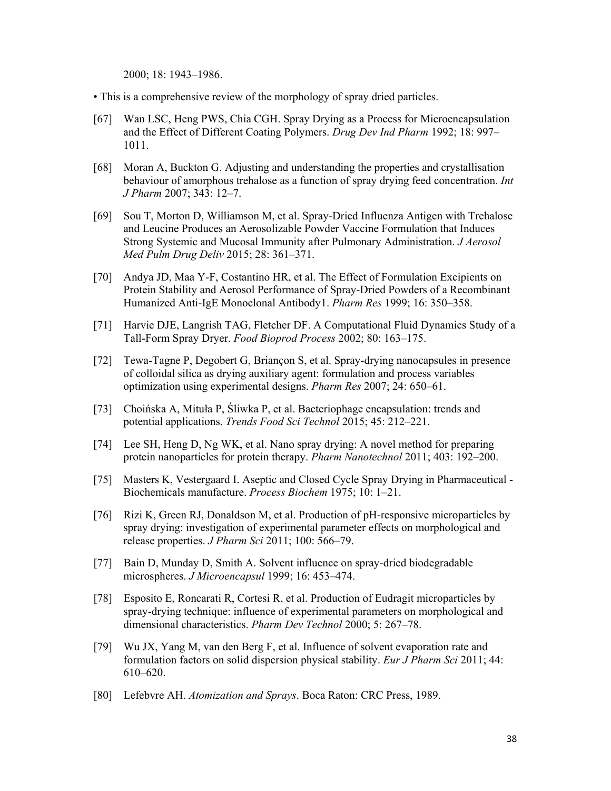2000; 18: 1943–1986.

- This is a comprehensive review of the morphology of spray dried particles.
- [67] Wan LSC, Heng PWS, Chia CGH. Spray Drying as a Process for Microencapsulation and the Effect of Different Coating Polymers. *Drug Dev Ind Pharm* 1992; 18: 997– 1011.
- [68] Moran A, Buckton G. Adjusting and understanding the properties and crystallisation behaviour of amorphous trehalose as a function of spray drying feed concentration. *Int J Pharm* 2007; 343: 12–7.
- [69] Sou T, Morton D, Williamson M, et al. Spray-Dried Influenza Antigen with Trehalose and Leucine Produces an Aerosolizable Powder Vaccine Formulation that Induces Strong Systemic and Mucosal Immunity after Pulmonary Administration. *J Aerosol Med Pulm Drug Deliv* 2015; 28: 361–371.
- [70] Andya JD, Maa Y-F, Costantino HR, et al. The Effect of Formulation Excipients on Protein Stability and Aerosol Performance of Spray-Dried Powders of a Recombinant Humanized Anti-IgE Monoclonal Antibody1. *Pharm Res* 1999; 16: 350–358.
- [71] Harvie DJE, Langrish TAG, Fletcher DF. A Computational Fluid Dynamics Study of a Tall-Form Spray Dryer. *Food Bioprod Process* 2002; 80: 163–175.
- [72] Tewa-Tagne P, Degobert G, Briançon S, et al. Spray-drying nanocapsules in presence of colloidal silica as drying auxiliary agent: formulation and process variables optimization using experimental designs. *Pharm Res* 2007; 24: 650–61.
- [73] Choińska A, Mituła P, Śliwka P, et al. Bacteriophage encapsulation: trends and potential applications. *Trends Food Sci Technol* 2015; 45: 212–221.
- [74] Lee SH, Heng D, Ng WK, et al. Nano spray drying: A novel method for preparing protein nanoparticles for protein therapy. *Pharm Nanotechnol* 2011; 403: 192–200.
- [75] Masters K, Vestergaard I. Aseptic and Closed Cycle Spray Drying in Pharmaceutical Biochemicals manufacture. *Process Biochem* 1975; 10: 1–21.
- [76] Rizi K, Green RJ, Donaldson M, et al. Production of pH-responsive microparticles by spray drying: investigation of experimental parameter effects on morphological and release properties. *J Pharm Sci* 2011; 100: 566–79.
- [77] Bain D, Munday D, Smith A. Solvent influence on spray-dried biodegradable microspheres. *J Microencapsul* 1999; 16: 453–474.
- [78] Esposito E, Roncarati R, Cortesi R, et al. Production of Eudragit microparticles by spray-drying technique: influence of experimental parameters on morphological and dimensional characteristics. *Pharm Dev Technol* 2000; 5: 267–78.
- [79] Wu JX, Yang M, van den Berg F, et al. Influence of solvent evaporation rate and formulation factors on solid dispersion physical stability. *Eur J Pharm Sci* 2011; 44: 610–620.
- [80] Lefebvre AH. *Atomization and Sprays*. Boca Raton: CRC Press, 1989.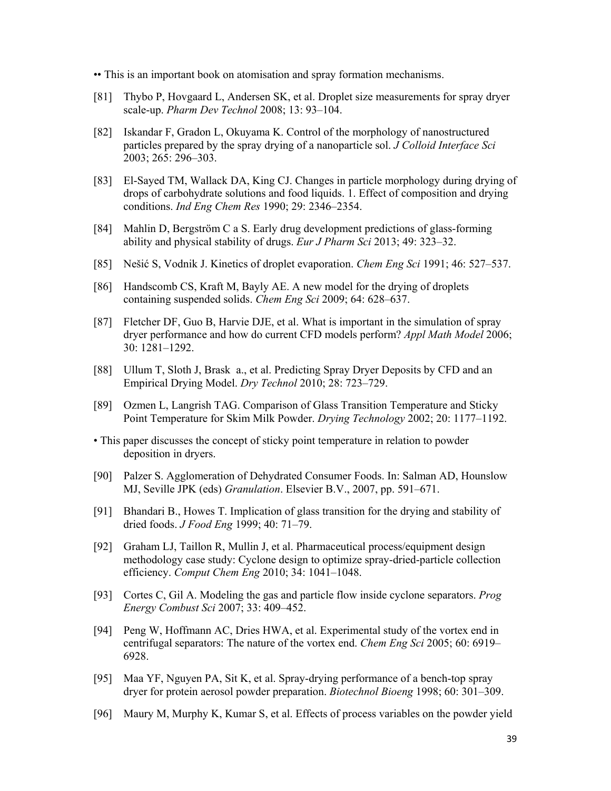•• This is an important book on atomisation and spray formation mechanisms.

- [81] Thybo P, Hovgaard L, Andersen SK, et al. Droplet size measurements for spray dryer scale-up. *Pharm Dev Technol* 2008; 13: 93–104.
- [82] Iskandar F, Gradon L, Okuyama K. Control of the morphology of nanostructured particles prepared by the spray drying of a nanoparticle sol. *J Colloid Interface Sci* 2003; 265: 296–303.
- [83] El-Sayed TM, Wallack DA, King CJ. Changes in particle morphology during drying of drops of carbohydrate solutions and food liquids. 1. Effect of composition and drying conditions. *Ind Eng Chem Res* 1990; 29: 2346–2354.
- [84] Mahlin D, Bergström C a S. Early drug development predictions of glass-forming ability and physical stability of drugs. *Eur J Pharm Sci* 2013; 49: 323–32.
- [85] Nešić S, Vodnik J. Kinetics of droplet evaporation. *Chem Eng Sci* 1991; 46: 527–537.
- [86] Handscomb CS, Kraft M, Bayly AE. A new model for the drying of droplets containing suspended solids. *Chem Eng Sci* 2009; 64: 628–637.
- [87] Fletcher DF, Guo B, Harvie DJE, et al. What is important in the simulation of spray dryer performance and how do current CFD models perform? *Appl Math Model* 2006; 30: 1281–1292.
- [88] Ullum T, Sloth J, Brask a., et al. Predicting Spray Dryer Deposits by CFD and an Empirical Drying Model. *Dry Technol* 2010; 28: 723–729.
- [89] Ozmen L, Langrish TAG. Comparison of Glass Transition Temperature and Sticky Point Temperature for Skim Milk Powder. *Drying Technology* 2002; 20: 1177–1192.
- This paper discusses the concept of sticky point temperature in relation to powder deposition in dryers.
- [90] Palzer S. Agglomeration of Dehydrated Consumer Foods. In: Salman AD, Hounslow MJ, Seville JPK (eds) *Granulation*. Elsevier B.V., 2007, pp. 591–671.
- [91] Bhandari B., Howes T. Implication of glass transition for the drying and stability of dried foods. *J Food Eng* 1999; 40: 71–79.
- [92] Graham LJ, Taillon R, Mullin J, et al. Pharmaceutical process/equipment design methodology case study: Cyclone design to optimize spray-dried-particle collection efficiency. *Comput Chem Eng* 2010; 34: 1041–1048.
- [93] Cortes C, Gil A. Modeling the gas and particle flow inside cyclone separators. *Prog Energy Combust Sci* 2007; 33: 409–452.
- [94] Peng W, Hoffmann AC, Dries HWA, et al. Experimental study of the vortex end in centrifugal separators: The nature of the vortex end. *Chem Eng Sci* 2005; 60: 6919– 6928.
- [95] Maa YF, Nguyen PA, Sit K, et al. Spray-drying performance of a bench-top spray dryer for protein aerosol powder preparation. *Biotechnol Bioeng* 1998; 60: 301–309.
- [96] Maury M, Murphy K, Kumar S, et al. Effects of process variables on the powder yield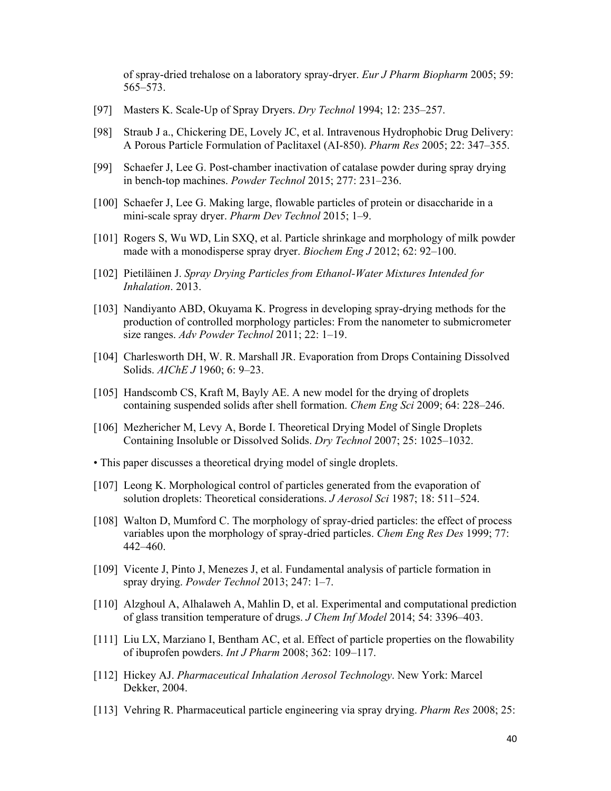of spray-dried trehalose on a laboratory spray-dryer. *Eur J Pharm Biopharm* 2005; 59: 565–573.

- [97] Masters K. Scale-Up of Spray Dryers. *Dry Technol* 1994; 12: 235–257.
- [98] Straub J a., Chickering DE, Lovely JC, et al. Intravenous Hydrophobic Drug Delivery: A Porous Particle Formulation of Paclitaxel (AI-850). *Pharm Res* 2005; 22: 347–355.
- [99] Schaefer J, Lee G. Post-chamber inactivation of catalase powder during spray drying in bench-top machines. *Powder Technol* 2015; 277: 231–236.
- [100] Schaefer J, Lee G. Making large, flowable particles of protein or disaccharide in a mini-scale spray dryer. *Pharm Dev Technol* 2015; 1–9.
- [101] Rogers S, Wu WD, Lin SXQ, et al. Particle shrinkage and morphology of milk powder made with a monodisperse spray dryer. *Biochem Eng J* 2012; 62: 92–100.
- [102] Pietiläinen J. *Spray Drying Particles from Ethanol-Water Mixtures Intended for Inhalation*. 2013.
- [103] Nandiyanto ABD, Okuyama K. Progress in developing spray-drying methods for the production of controlled morphology particles: From the nanometer to submicrometer size ranges. *Adv Powder Technol* 2011; 22: 1–19.
- [104] Charlesworth DH, W. R. Marshall JR. Evaporation from Drops Containing Dissolved Solids. *AIChE J* 1960; 6: 9–23.
- [105] Handscomb CS, Kraft M, Bayly AE. A new model for the drying of droplets containing suspended solids after shell formation. *Chem Eng Sci* 2009; 64: 228–246.
- [106] Mezhericher M, Levy A, Borde I. Theoretical Drying Model of Single Droplets Containing Insoluble or Dissolved Solids. *Dry Technol* 2007; 25: 1025–1032.
- This paper discusses a theoretical drying model of single droplets.
- [107] Leong K. Morphological control of particles generated from the evaporation of solution droplets: Theoretical considerations. *J Aerosol Sci* 1987; 18: 511–524.
- [108] Walton D, Mumford C. The morphology of spray-dried particles: the effect of process variables upon the morphology of spray-dried particles. *Chem Eng Res Des* 1999; 77: 442–460.
- [109] Vicente J, Pinto J, Menezes J, et al. Fundamental analysis of particle formation in spray drying. *Powder Technol* 2013; 247: 1–7.
- [110] Alzghoul A, Alhalaweh A, Mahlin D, et al. Experimental and computational prediction of glass transition temperature of drugs. *J Chem Inf Model* 2014; 54: 3396–403.
- [111] Liu LX, Marziano I, Bentham AC, et al. Effect of particle properties on the flowability of ibuprofen powders. *Int J Pharm* 2008; 362: 109–117.
- [112] Hickey AJ. *Pharmaceutical Inhalation Aerosol Technology*. New York: Marcel Dekker, 2004.
- [113] Vehring R. Pharmaceutical particle engineering via spray drying. *Pharm Res* 2008; 25: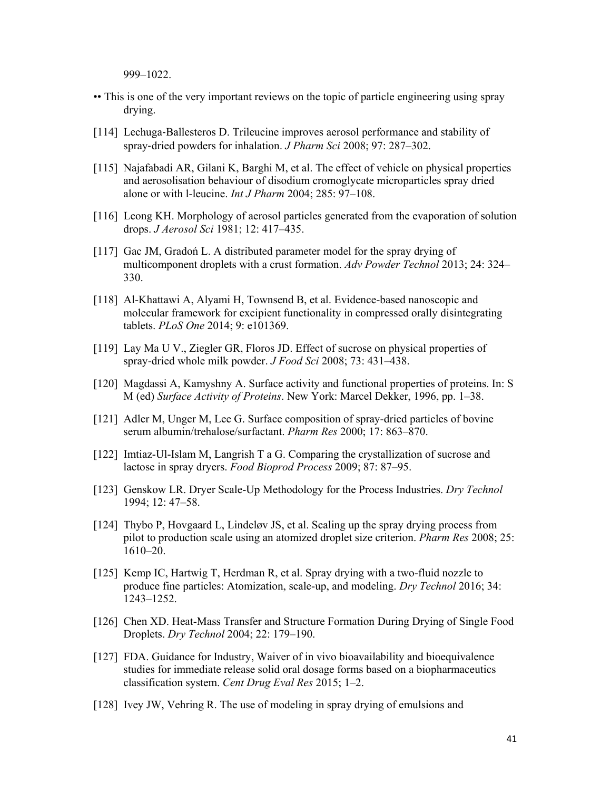999–1022.

- •• This is one of the very important reviews on the topic of particle engineering using spray drying.
- [114] Lechuga-Ballesteros D. Trileucine improves aerosol performance and stability of spray‐dried powders for inhalation. *J Pharm Sci* 2008; 97: 287–302.
- [115] Najafabadi AR, Gilani K, Barghi M, et al. The effect of vehicle on physical properties and aerosolisation behaviour of disodium cromoglycate microparticles spray dried alone or with l-leucine. *Int J Pharm* 2004; 285: 97–108.
- [116] Leong KH. Morphology of aerosol particles generated from the evaporation of solution drops. *J Aerosol Sci* 1981; 12: 417–435.
- [117] Gac JM, Gradoń L. A distributed parameter model for the spray drying of multicomponent droplets with a crust formation. *Adv Powder Technol* 2013; 24: 324– 330.
- [118] Al-Khattawi A, Alyami H, Townsend B, et al. Evidence-based nanoscopic and molecular framework for excipient functionality in compressed orally disintegrating tablets. *PLoS One* 2014; 9: e101369.
- [119] Lay Ma U V., Ziegler GR, Floros JD. Effect of sucrose on physical properties of spray-dried whole milk powder. *J Food Sci* 2008; 73: 431–438.
- [120] Magdassi A, Kamyshny A. Surface activity and functional properties of proteins. In: S M (ed) *Surface Activity of Proteins*. New York: Marcel Dekker, 1996, pp. 1–38.
- [121] Adler M, Unger M, Lee G. Surface composition of spray-dried particles of bovine serum albumin/trehalose/surfactant. *Pharm Res* 2000; 17: 863–870.
- [122] Imtiaz-Ul-Islam M, Langrish T a G. Comparing the crystallization of sucrose and lactose in spray dryers. *Food Bioprod Process* 2009; 87: 87–95.
- [123] Genskow LR. Dryer Scale-Up Methodology for the Process Industries. *Dry Technol* 1994; 12: 47–58.
- [124] Thybo P, Hovgaard L, Lindeløv JS, et al. Scaling up the spray drying process from pilot to production scale using an atomized droplet size criterion. *Pharm Res* 2008; 25: 1610–20.
- [125] Kemp IC, Hartwig T, Herdman R, et al. Spray drying with a two-fluid nozzle to produce fine particles: Atomization, scale-up, and modeling. *Dry Technol* 2016; 34: 1243–1252.
- [126] Chen XD. Heat-Mass Transfer and Structure Formation During Drying of Single Food Droplets. *Dry Technol* 2004; 22: 179–190.
- [127] FDA. Guidance for Industry, Waiver of in vivo bioavailability and bioequivalence studies for immediate release solid oral dosage forms based on a biopharmaceutics classification system. *Cent Drug Eval Res* 2015; 1–2.
- [128] Ivey JW, Vehring R. The use of modeling in spray drying of emulsions and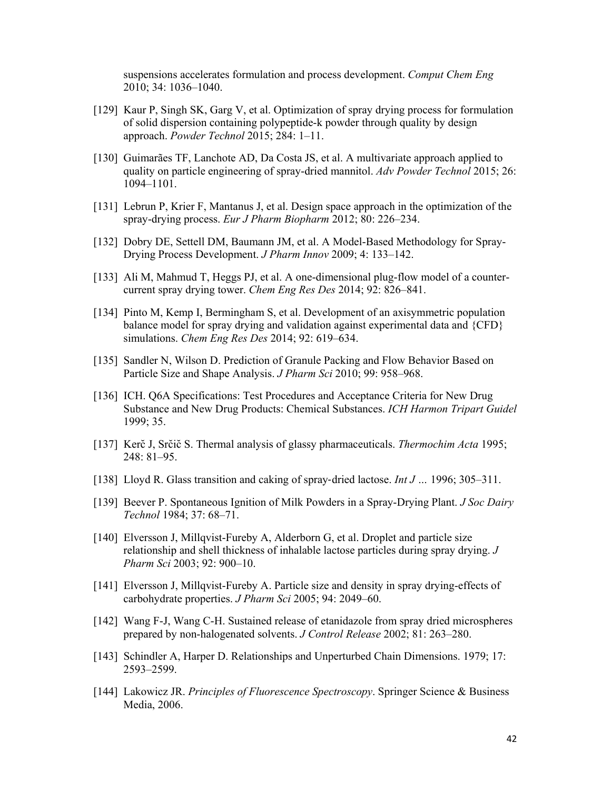suspensions accelerates formulation and process development. *Comput Chem Eng* 2010; 34: 1036–1040.

- [129] Kaur P, Singh SK, Garg V, et al. Optimization of spray drying process for formulation of solid dispersion containing polypeptide-k powder through quality by design approach. *Powder Technol* 2015; 284: 1–11.
- [130] Guimarães TF, Lanchote AD, Da Costa JS, et al. A multivariate approach applied to quality on particle engineering of spray-dried mannitol. *Adv Powder Technol* 2015; 26: 1094–1101.
- [131] Lebrun P, Krier F, Mantanus J, et al. Design space approach in the optimization of the spray-drying process. *Eur J Pharm Biopharm* 2012; 80: 226–234.
- [132] Dobry DE, Settell DM, Baumann JM, et al. A Model-Based Methodology for Spray-Drying Process Development. *J Pharm Innov* 2009; 4: 133–142.
- [133] Ali M, Mahmud T, Heggs PJ, et al. A one-dimensional plug-flow model of a countercurrent spray drying tower. *Chem Eng Res Des* 2014; 92: 826–841.
- [134] Pinto M, Kemp I, Bermingham S, et al. Development of an axisymmetric population balance model for spray drying and validation against experimental data and {CFD} simulations. *Chem Eng Res Des* 2014; 92: 619–634.
- [135] Sandler N, Wilson D. Prediction of Granule Packing and Flow Behavior Based on Particle Size and Shape Analysis. *J Pharm Sci* 2010; 99: 958–968.
- [136] ICH. Q6A Specifications: Test Procedures and Acceptance Criteria for New Drug Substance and New Drug Products: Chemical Substances. *ICH Harmon Tripart Guidel* 1999; 35.
- [137] Kerč J, Srčič S. Thermal analysis of glassy pharmaceuticals. *Thermochim Acta* 1995; 248: 81–95.
- [138] Lloyd R. Glass transition and caking of spray‐dried lactose. *Int J …* 1996; 305–311.
- [139] Beever P. Spontaneous Ignition of Milk Powders in a Spray-Drying Plant. *J Soc Dairy Technol* 1984; 37: 68–71.
- [140] Elversson J, Millqvist-Fureby A, Alderborn G, et al. Droplet and particle size relationship and shell thickness of inhalable lactose particles during spray drying. *J Pharm Sci* 2003; 92: 900–10.
- [141] Elversson J, Millqvist-Fureby A. Particle size and density in spray drying-effects of carbohydrate properties. *J Pharm Sci* 2005; 94: 2049–60.
- [142] Wang F-J, Wang C-H. Sustained release of etanidazole from spray dried microspheres prepared by non-halogenated solvents. *J Control Release* 2002; 81: 263–280.
- [143] Schindler A, Harper D. Relationships and Unperturbed Chain Dimensions. 1979; 17: 2593–2599.
- [144] Lakowicz JR. *Principles of Fluorescence Spectroscopy*. Springer Science & Business Media, 2006.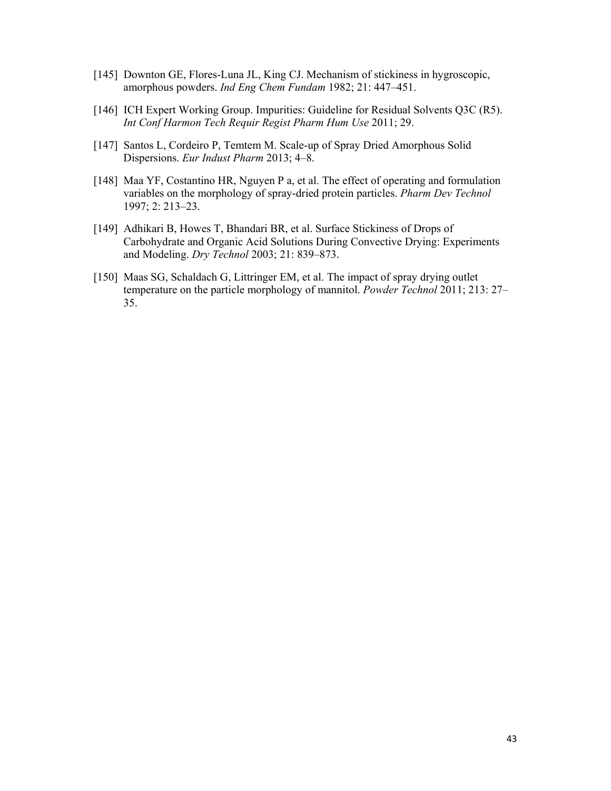- [145] Downton GE, Flores-Luna JL, King CJ. Mechanism of stickiness in hygroscopic, amorphous powders. *Ind Eng Chem Fundam* 1982; 21: 447–451.
- [146] ICH Expert Working Group. Impurities: Guideline for Residual Solvents Q3C (R5). *Int Conf Harmon Tech Requir Regist Pharm Hum Use* 2011; 29.
- [147] Santos L, Cordeiro P, Temtem M. Scale-up of Spray Dried Amorphous Solid Dispersions. *Eur Indust Pharm* 2013; 4–8.
- [148] Maa YF, Costantino HR, Nguyen P a, et al. The effect of operating and formulation variables on the morphology of spray-dried protein particles. *Pharm Dev Technol* 1997; 2: 213–23.
- [149] Adhikari B, Howes T, Bhandari BR, et al. Surface Stickiness of Drops of Carbohydrate and Organic Acid Solutions During Convective Drying: Experiments and Modeling. *Dry Technol* 2003; 21: 839–873.
- [150] Maas SG, Schaldach G, Littringer EM, et al. The impact of spray drying outlet temperature on the particle morphology of mannitol. *Powder Technol* 2011; 213: 27– 35.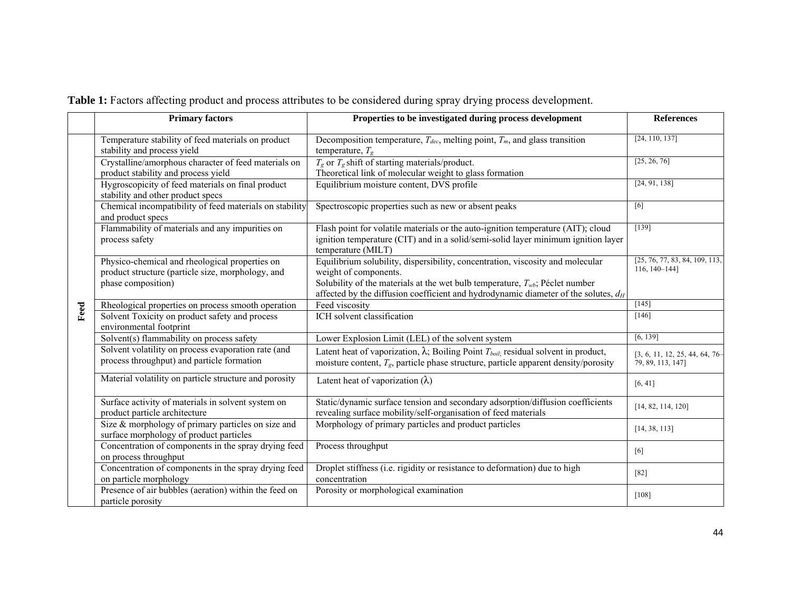|  | Table 1: Factors affecting product and process attributes to be considered during spray drying process development. |  |  |
|--|---------------------------------------------------------------------------------------------------------------------|--|--|

|      | <b>Primary factors</b>                                                                                                    | Properties to be investigated during process development                                                                                                                                                                                                                              | <b>References</b>                                     |
|------|---------------------------------------------------------------------------------------------------------------------------|---------------------------------------------------------------------------------------------------------------------------------------------------------------------------------------------------------------------------------------------------------------------------------------|-------------------------------------------------------|
|      | Temperature stability of feed materials on product<br>stability and process yield                                         | Decomposition temperature, $T_{dec}$ , melting point, $T_m$ , and glass transition<br>temperature, $T_g$                                                                                                                                                                              | [24, 110, 137]                                        |
|      | Crystalline/amorphous character of feed materials on<br>product stability and process yield                               | $T_g$ or $T_g$ shift of starting materials/product.<br>Theoretical link of molecular weight to glass formation                                                                                                                                                                        | [25, 26, 76]                                          |
| Feed | Hygroscopicity of feed materials on final product<br>stability and other product specs                                    | Equilibrium moisture content, DVS profile                                                                                                                                                                                                                                             | [24, 91, 138]                                         |
|      | Chemical incompatibility of feed materials on stability<br>and product specs                                              | Spectroscopic properties such as new or absent peaks                                                                                                                                                                                                                                  | [6]                                                   |
|      | Flammability of materials and any impurities on<br>process safety                                                         | Flash point for volatile materials or the auto-ignition temperature (AIT); cloud<br>ignition temperature (CIT) and in a solid/semi-solid layer minimum ignition layer<br>temperature (MILT)                                                                                           | [139]                                                 |
|      | Physico-chemical and rheological properties on<br>product structure (particle size, morphology, and<br>phase composition) | Equilibrium solubility, dispersibility, concentration, viscosity and molecular<br>weight of components.<br>Solubility of the materials at the wet bulb temperature, $T_{wb}$ ; Péclet number<br>affected by the diffusion coefficient and hydrodynamic diameter of the solutes, $d_H$ | [25, 76, 77, 83, 84, 109, 113,<br>$116, 140 - 144$ ]  |
|      | Rheological properties on process smooth operation                                                                        | Feed viscosity                                                                                                                                                                                                                                                                        | $[145]$                                               |
|      | Solvent Toxicity on product safety and process<br>environmental footprint                                                 | ICH solvent classification                                                                                                                                                                                                                                                            | $[146]$                                               |
|      | Solvent(s) flammability on process safety                                                                                 | Lower Explosion Limit (LEL) of the solvent system                                                                                                                                                                                                                                     | [6, 139]                                              |
|      | Solvent volatility on process evaporation rate (and<br>process throughput) and particle formation                         | Latent heat of vaporization, $\lambda$ ; Boiling Point $T_{boil}$ ; residual solvent in product,<br>moisture content, $T_{g}$ , particle phase structure, particle apparent density/porosity                                                                                          | $[3, 6, 11, 12, 25, 44, 64, 76-$<br>79, 89, 113, 147] |
|      | Material volatility on particle structure and porosity                                                                    | Latent heat of vaporization $(\lambda)$                                                                                                                                                                                                                                               | [6, 41]                                               |
|      | Surface activity of materials in solvent system on<br>product particle architecture                                       | Static/dynamic surface tension and secondary adsorption/diffusion coefficients<br>revealing surface mobility/self-organisation of feed materials                                                                                                                                      | [14, 82, 114, 120]                                    |
|      | Size $&$ morphology of primary particles on size and<br>surface morphology of product particles                           | Morphology of primary particles and product particles                                                                                                                                                                                                                                 | [14, 38, 113]                                         |
|      | Concentration of components in the spray drying feed<br>on process throughput                                             | Process throughput                                                                                                                                                                                                                                                                    | [6]                                                   |
|      | Concentration of components in the spray drying feed<br>on particle morphology                                            | Droplet stiffness (i.e. rigidity or resistance to deformation) due to high<br>concentration                                                                                                                                                                                           | $[82]$                                                |
|      | Presence of air bubbles (aeration) within the feed on<br>particle porosity                                                | Porosity or morphological examination                                                                                                                                                                                                                                                 | $[108]$                                               |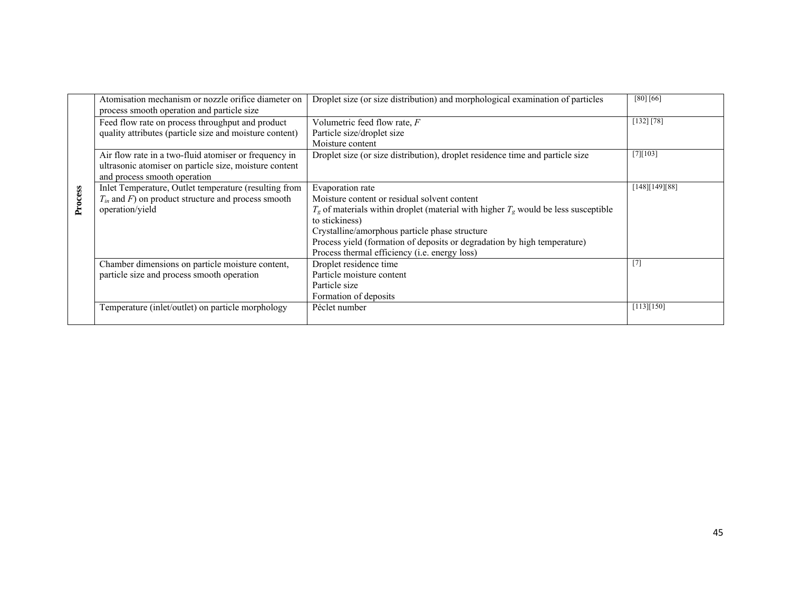|         | Atomisation mechanism or nozzle orifice diameter on<br>process smooth operation and particle size | Droplet size (or size distribution) and morphological examination of particles          | [80] [66]      |
|---------|---------------------------------------------------------------------------------------------------|-----------------------------------------------------------------------------------------|----------------|
|         | Feed flow rate on process throughput and product                                                  | Volumetric feed flow rate, F                                                            | [132] [78]     |
|         | quality attributes (particle size and moisture content)                                           | Particle size/droplet size                                                              |                |
|         |                                                                                                   | Moisture content                                                                        |                |
|         | Air flow rate in a two-fluid atomiser or frequency in                                             | Droplet size (or size distribution), droplet residence time and particle size           | [7][103]       |
|         | ultrasonic atomiser on particle size, moisture content                                            |                                                                                         |                |
| Process | and process smooth operation                                                                      |                                                                                         |                |
|         | Inlet Temperature, Outlet temperature (resulting from                                             | Evaporation rate                                                                        | [148][149][88] |
|         | $T_{in}$ and $F$ ) on product structure and process smooth                                        | Moisture content or residual solvent content                                            |                |
|         | operation/yield                                                                                   | $T_g$ of materials within droplet (material with higher $T_g$ would be less susceptible |                |
|         |                                                                                                   | to stickiness)                                                                          |                |
|         |                                                                                                   | Crystalline/amorphous particle phase structure                                          |                |
|         |                                                                                                   | Process yield (formation of deposits or degradation by high temperature)                |                |
|         |                                                                                                   | Process thermal efficiency (i.e. energy loss)                                           |                |
|         | Chamber dimensions on particle moisture content,                                                  | Droplet residence time                                                                  | $[7]$          |
|         | particle size and process smooth operation                                                        | Particle moisture content                                                               |                |
|         |                                                                                                   | Particle size                                                                           |                |
|         |                                                                                                   | Formation of deposits                                                                   |                |
|         | Temperature (inlet/outlet) on particle morphology                                                 | Péclet number                                                                           | [113][150]     |
|         |                                                                                                   |                                                                                         |                |